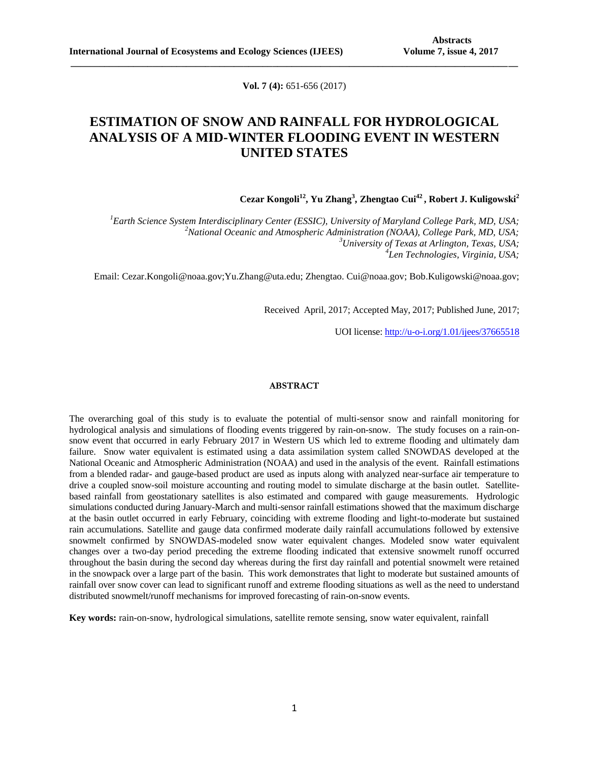**Vol. 7 (4):** 651-656 (2017)

**\_\_\_\_\_\_\_\_\_\_\_\_\_\_\_\_\_\_\_\_\_\_\_\_\_\_\_\_\_\_\_\_\_\_\_\_\_\_\_\_\_\_\_\_\_\_\_\_\_\_\_\_\_\_\_\_\_\_\_\_\_\_\_\_\_\_\_\_\_\_\_\_\_\_\_\_\_\_\_\_\_\_\_\_\_\_\_\_\_\_\_\_\_**

# **ESTIMATION OF SNOW AND RAINFALL FOR HYDROLOGICAL ANALYSIS OF A MID-WINTER FLOODING EVENT IN WESTERN UNITED STATES**

**Cezar Kongoli<sup>12</sup>, Yu Zhang<sup>3</sup> , Zhengtao Cui<sup>42</sup> , Robert J. Kuligowski<sup>2</sup>**

*<sup>1</sup>Earth Science System Interdisciplinary Center (ESSIC), University of Maryland College Park, MD, USA; <sup>2</sup>National Oceanic and Atmospheric Administration (NOAA), College Park, MD, USA; <sup>3</sup>University of Texas at Arlington, Texas, USA; 4 Len Technologies, Virginia, USA;*

Email: Cezar.Kongoli@noaa.gov;Yu.Zhang@uta.edu; Zhengtao. Cui@noaa.gov; Bob.Kuligowski@noaa.gov;

Received April, 2017; Accepted May, 2017; Published June, 2017;

UOI license: [http://u-o-i.org/1.01/ijees/37665518](http://www.u-o-i.org/index.php/ArticleLicense/index/1361)

#### **ABSTRACT**

The overarching goal of this study is to evaluate the potential of multi-sensor snow and rainfall monitoring for hydrological analysis and simulations of flooding events triggered by rain-on-snow. The study focuses on a rain-onsnow event that occurred in early February 2017 in Western US which led to extreme flooding and ultimately dam failure. Snow water equivalent is estimated using a data assimilation system called SNOWDAS developed at the National Oceanic and Atmospheric Administration (NOAA) and used in the analysis of the event. Rainfall estimations from a blended radar- and gauge-based product are used as inputs along with analyzed near-surface air temperature to drive a coupled snow-soil moisture accounting and routing model to simulate discharge at the basin outlet. Satellitebased rainfall from geostationary satellites is also estimated and compared with gauge measurements. Hydrologic simulations conducted during January-March and multi-sensor rainfall estimations showed that the maximum discharge at the basin outlet occurred in early February, coinciding with extreme flooding and light-to-moderate but sustained rain accumulations. Satellite and gauge data confirmed moderate daily rainfall accumulations followed by extensive snowmelt confirmed by SNOWDAS-modeled snow water equivalent changes. Modeled snow water equivalent changes over a two-day period preceding the extreme flooding indicated that extensive snowmelt runoff occurred throughout the basin during the second day whereas during the first day rainfall and potential snowmelt were retained in the snowpack over a large part of the basin. This work demonstrates that light to moderate but sustained amounts of rainfall over snow cover can lead to significant runoff and extreme flooding situations as well as the need to understand distributed snowmelt/runoff mechanisms for improved forecasting of rain-on-snow events.

**Key words:** rain-on-snow, hydrological simulations, satellite remote sensing, snow water equivalent, rainfall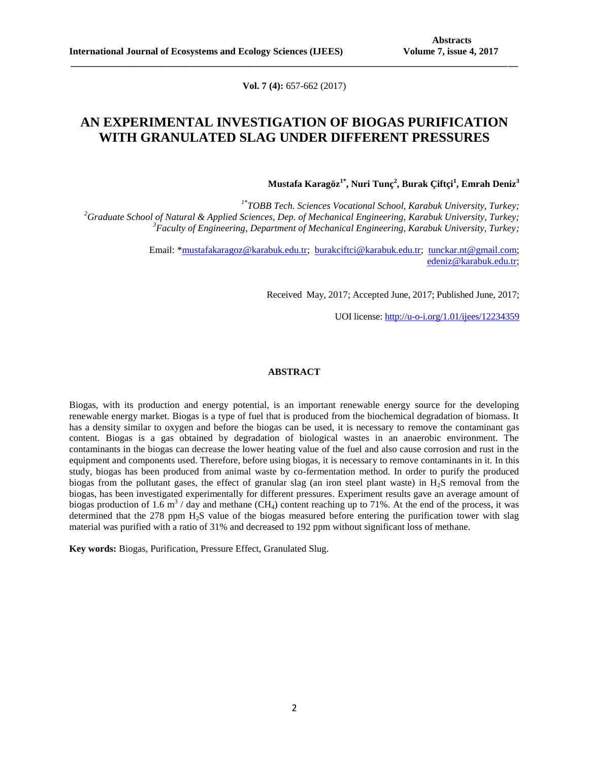**Vol. 7 (4):** 657-662 (2017)

**\_\_\_\_\_\_\_\_\_\_\_\_\_\_\_\_\_\_\_\_\_\_\_\_\_\_\_\_\_\_\_\_\_\_\_\_\_\_\_\_\_\_\_\_\_\_\_\_\_\_\_\_\_\_\_\_\_\_\_\_\_\_\_\_\_\_\_\_\_\_\_\_\_\_\_\_\_\_\_\_\_\_\_\_\_\_\_\_\_\_\_\_\_**

## **AN EXPERIMENTAL INVESTIGATION OF BIOGAS PURIFICATION WITH GRANULATED SLAG UNDER DIFFERENT PRESSURES**

**Mustafa Karagöz1\*, Nuri Tunç<sup>2</sup> , Burak Çiftçi<sup>1</sup> , Emrah Deniz<sup>3</sup>**

*1\* TOBB Tech. Sciences Vocational School, Karabuk University, Turkey; <sup>2</sup>Graduate School of Natural & Applied Sciences, Dep. of Mechanical Engineering, Karabuk University, Turkey; <sup>3</sup>Faculty of Engineering, Department of Mechanical Engineering, Karabuk University, Turkey;*

> Email: [\\*mustafakaragoz@karabuk.edu.tr;](mailto:mustafakaragoz@karabuk.edu.tr) [burakciftci@karabuk.edu.tr;](mailto:burakciftci@karabuk.edu.tr) [tunckar.nt@gmail.com;](mailto:tunckar.nt@gmail.com) [edeniz@karabuk.edu.tr;](mailto:edeniz@karabuk.edu.tr)

> > Received May, 2017; Accepted June, 2017; Published June, 2017;

UOI license: [http://u-o-i.org/1.01/ijees/12234359](http://www.u-o-i.org/index.php/ArticleLicense/index/1365)

## **ABSTRACT**

Biogas, with its production and energy potential, is an important renewable energy source for the developing renewable energy market. Biogas is a type of fuel that is produced from the biochemical degradation of biomass. It has a density similar to oxygen and before the biogas can be used, it is necessary to remove the contaminant gas content. Biogas is a gas obtained by degradation of biological wastes in an anaerobic environment. The contaminants in the biogas can decrease the lower heating value of the fuel and also cause corrosion and rust in the equipment and components used. Therefore, before using biogas, it is necessary to remove contaminants in it. In this study, biogas has been produced from animal waste by co-fermentation method. In order to purify the produced biogas from the pollutant gases, the effect of granular slag (an iron steel plant waste) in  $H<sub>2</sub>S$  removal from the biogas, has been investigated experimentally for different pressures. Experiment results gave an average amount of biogas production of 1.6  $\text{m}^3$  / day and methane (CH<sub>4</sub>) content reaching up to 71%. At the end of the process, it was determined that the  $278$  ppm  $H<sub>2</sub>S$  value of the biogas measured before entering the purification tower with slag material was purified with a ratio of 31% and decreased to 192 ppm without significant loss of methane.

**Key words:** Biogas, Purification, Pressure Effect, Granulated Slug.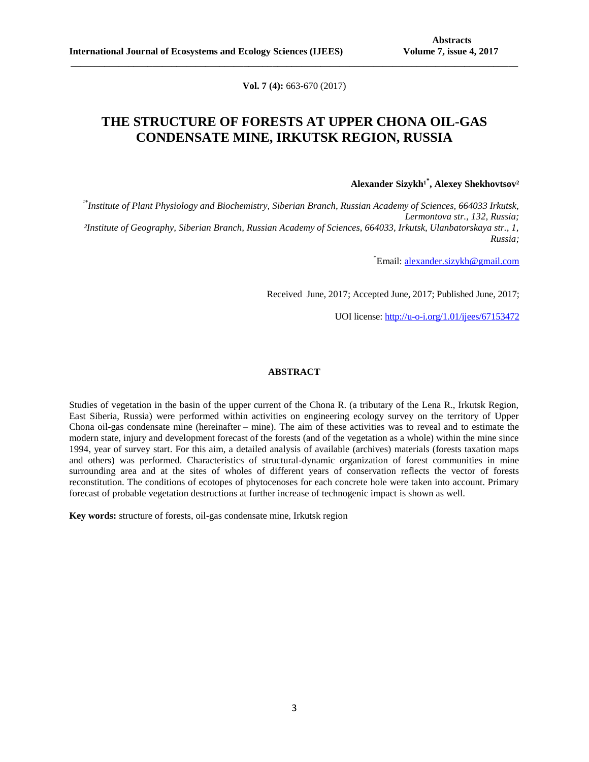**Vol. 7 (4):** 663-670 (2017)

**\_\_\_\_\_\_\_\_\_\_\_\_\_\_\_\_\_\_\_\_\_\_\_\_\_\_\_\_\_\_\_\_\_\_\_\_\_\_\_\_\_\_\_\_\_\_\_\_\_\_\_\_\_\_\_\_\_\_\_\_\_\_\_\_\_\_\_\_\_\_\_\_\_\_\_\_\_\_\_\_\_\_\_\_\_\_\_\_\_\_\_\_\_**

# **THE STRUCTURE OF FORESTS AT UPPER CHONA OIL-GAS CONDENSATE MINE, IRKUTSK REGION, RUSSIA**

 $A$ lexander Sizykh<sup>1\*</sup>, Alexey Shekhovtsov<sup>2</sup>

*¹\*Institute of Plant Physiology and Biochemistry, Siberian Branch, Russian Academy of Sciences, 664033 Irkutsk, Lermontova str., 132, Russia; ²Institute of Geography, Siberian Branch, Russian Academy of Sciences, 664033, Irkutsk, Ulanbatorskaya str., 1, Russia;*

\*Email: [alexander.sizykh@gmail.com](mailto:alexander.sizykh@gmail.com)

Received June, 2017; Accepted June, 2017; Published June, 2017;

UOI license: [http://u-o-i.org/1.01/ijees/67153472](http://www.u-o-i.org/index.php/ArticleLicense/index/1366)

### **ABSTRACT**

Studies of vegetation in the basin of the upper current of the Chona R. (a tributary of the Lena R., Irkutsk Region, East Siberia, Russia) were performed within activities on engineering ecology survey on the territory of Upper Chona oil-gas condensate mine (hereinafter – mine). The aim of these activities was to reveal and to estimate the modern state, injury and development forecast of the forests (and of the vegetation as a whole) within the mine since 1994, year of survey start. For this aim, a detailed analysis of available (archives) materials (forests taxation maps and others) was performed. Characteristics of structural-dynamic organization of forest communities in mine surrounding area and at the sites of wholes of different years of conservation reflects the vector of forests reconstitution. The conditions of ecotopes of phytocenoses for each concrete hole were taken into account. Primary forecast of probable vegetation destructions at further increase of technogenic impact is shown as well.

**Key words:** structure of forests, oil-gas condensate mine, Irkutsk region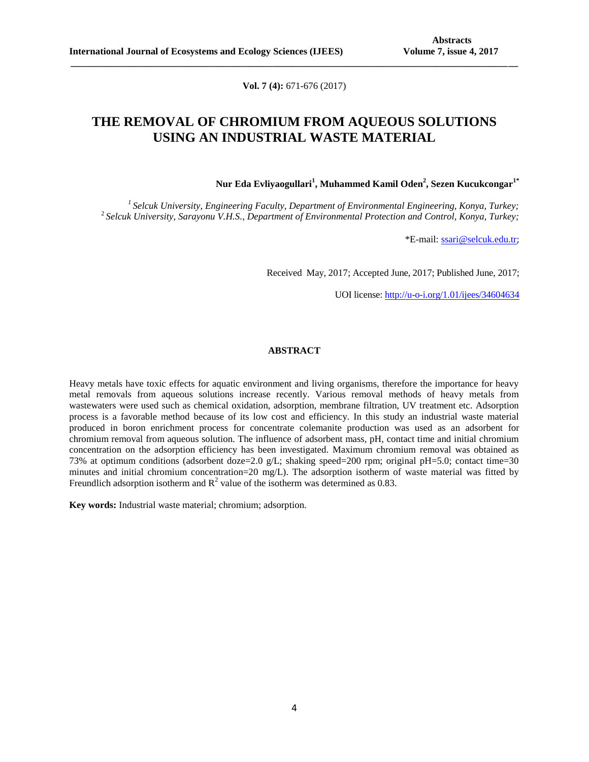**Vol. 7 (4):** 671-676 (2017)

**\_\_\_\_\_\_\_\_\_\_\_\_\_\_\_\_\_\_\_\_\_\_\_\_\_\_\_\_\_\_\_\_\_\_\_\_\_\_\_\_\_\_\_\_\_\_\_\_\_\_\_\_\_\_\_\_\_\_\_\_\_\_\_\_\_\_\_\_\_\_\_\_\_\_\_\_\_\_\_\_\_\_\_\_\_\_\_\_\_\_\_\_\_**

# **THE REMOVAL OF CHROMIUM FROM AQUEOUS SOLUTIONS USING AN INDUSTRIAL WASTE MATERIAL**

**Nur Eda Evliyaogullari<sup>1</sup> , Muhammed Kamil Oden<sup>2</sup> , Sezen Kucukcongar1\***

*<sup>1</sup>Selcuk University, Engineering Faculty, Department of Environmental Engineering, Konya, Turkey;* <sup>2</sup>*Selcuk University, Sarayonu V.H.S., Department of Environmental Protection and Control, Konya, Turkey;*

\*E-mail: [ssari@selcuk.edu.tr](mailto:ssari@selcuk.edu.tr);

Received May, 2017; Accepted June, 2017; Published June, 2017;

UOI license: [http://u-o-i.org/1.01/ijees/34604634](http://www.u-o-i.org/index.php/ArticleLicense/index/1367)

### **ABSTRACT**

Heavy metals have toxic effects for aquatic environment and living organisms, therefore the importance for heavy metal removals from aqueous solutions increase recently. Various removal methods of heavy metals from wastewaters were used such as chemical oxidation, adsorption, membrane filtration, UV treatment etc. Adsorption process is a favorable method because of its low cost and efficiency. In this study an industrial waste material produced in boron enrichment process for concentrate colemanite production was used as an adsorbent for chromium removal from aqueous solution. The influence of adsorbent mass, pH, contact time and initial chromium concentration on the adsorption efficiency has been investigated. Maximum chromium removal was obtained as 73% at optimum conditions (adsorbent doze=2.0 g/L; shaking speed=200 rpm; original pH=5.0; contact time=30 minutes and initial chromium concentration=20 mg/L). The adsorption isotherm of waste material was fitted by Freundlich adsorption isotherm and  $R^2$  value of the isotherm was determined as 0.83.

**Key words:** Industrial waste material; chromium; adsorption.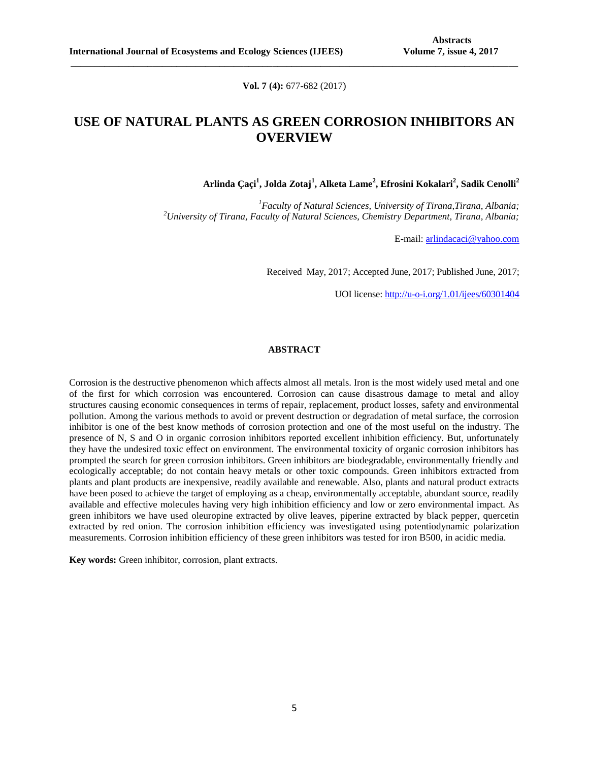**Vol. 7 (4):** 677-682 (2017)

**\_\_\_\_\_\_\_\_\_\_\_\_\_\_\_\_\_\_\_\_\_\_\_\_\_\_\_\_\_\_\_\_\_\_\_\_\_\_\_\_\_\_\_\_\_\_\_\_\_\_\_\_\_\_\_\_\_\_\_\_\_\_\_\_\_\_\_\_\_\_\_\_\_\_\_\_\_\_\_\_\_\_\_\_\_\_\_\_\_\_\_\_\_**

# **USE OF NATURAL PLANTS AS GREEN CORROSION INHIBITORS AN OVERVIEW**

**Arlinda Çaçi<sup>1</sup> , Jolda Zotaj<sup>1</sup> , Alketa Lame<sup>2</sup> , Efrosini Kokalari<sup>2</sup> , Sadik Cenolli<sup>2</sup>**

*<sup>1</sup>Faculty of Natural Sciences, University of Tirana,Tirana, Albania; <sup>2</sup>University of Tirana, Faculty of Natural Sciences, Chemistry Department, Tirana, Albania;*

E-mail: [arlindacaci@yahoo.com](mailto:arlindacaci@yahoo.com)

Received May, 2017; Accepted June, 2017; Published June, 2017;

UOI license: [http://u-o-i.org/1.01/ijees/60301404](http://www.u-o-i.org/index.php/ArticleLicense/index/1369)

## **ABSTRACT**

Corrosion is the destructive phenomenon which affects almost all metals. Iron is the most widely used metal and one of the first for which corrosion was encountered. Corrosion can cause disastrous damage to metal and alloy structures causing economic consequences in terms of repair, replacement, product losses, safety and environmental pollution. Among the various methods to avoid or prevent destruction or degradation of metal surface, the corrosion inhibitor is one of the best know methods of corrosion protection and one of the most useful on the industry. The presence of N, S and O in organic corrosion inhibitors reported excellent inhibition efficiency. But, unfortunately they have the undesired toxic effect on environment. The environmental toxicity of organic corrosion inhibitors has prompted the search for green corrosion inhibitors. Green inhibitors are biodegradable, environmentally friendly and ecologically acceptable; do not contain heavy metals or other toxic compounds. Green inhibitors extracted from plants and plant products are inexpensive, readily available and renewable. Also, plants and natural product extracts have been posed to achieve the target of employing as a cheap, environmentally acceptable, abundant source, readily available and effective molecules having very high inhibition efficiency and low or zero environmental impact. As green inhibitors we have used oleuropine extracted by olive leaves, piperine extracted by black pepper, quercetin extracted by red onion. The corrosion inhibition efficiency was investigated using potentiodynamic polarization measurements. Corrosion inhibition efficiency of these green inhibitors was tested for iron B500, in acidic media.

**Key words:** Green inhibitor, corrosion, plant extracts.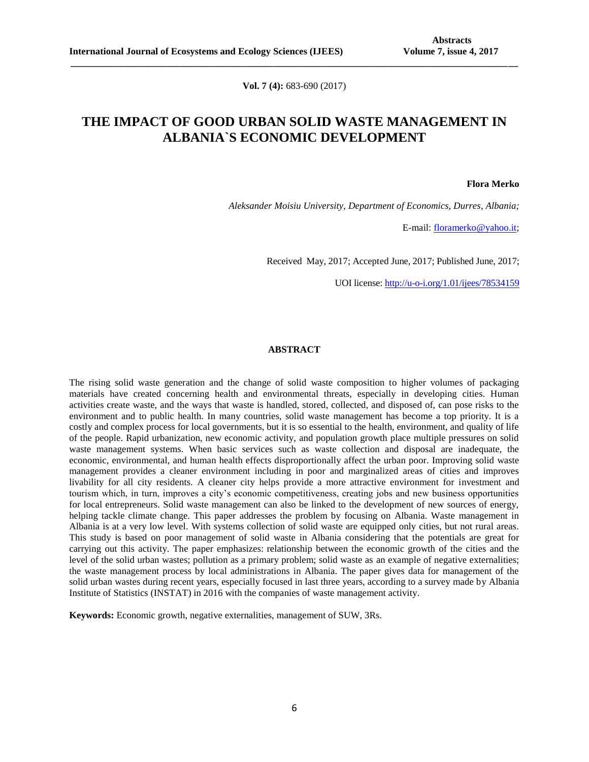**Vol. 7 (4):** 683-690 (2017)

**\_\_\_\_\_\_\_\_\_\_\_\_\_\_\_\_\_\_\_\_\_\_\_\_\_\_\_\_\_\_\_\_\_\_\_\_\_\_\_\_\_\_\_\_\_\_\_\_\_\_\_\_\_\_\_\_\_\_\_\_\_\_\_\_\_\_\_\_\_\_\_\_\_\_\_\_\_\_\_\_\_\_\_\_\_\_\_\_\_\_\_\_\_**

# **THE IMPACT OF GOOD URBAN SOLID WASTE MANAGEMENT IN ALBANIA`S ECONOMIC DEVELOPMENT**

**Flora Merko**

*Aleksander Moisiu University, Department of Economics, Durres, Albania;*

E-mail: [floramerko@yahoo.it;](mailto:floramerko@yahoo.it)

Received May, 2017; Accepted June, 2017; Published June, 2017;

UOI license: [http://u-o-i.org/1.01/ijees/78534159](http://www.u-o-i.org/index.php/ArticleLicense/index/1370)

## **ABSTRACT**

The rising solid waste generation and the change of solid waste composition to higher volumes of packaging materials have created concerning health and environmental threats, especially in developing cities. Human activities create waste, and the ways that waste is handled, stored, collected, and disposed of, can pose risks to the environment and to public health. In many countries, solid waste management has become a top priority. It is a costly and complex process for local governments, but it is so essential to the health, environment, and quality of life of the people. Rapid urbanization, new economic activity, and population growth place multiple pressures on solid waste management systems. When basic services such as waste collection and disposal are inadequate, the economic, environmental, and human health effects disproportionally affect the urban poor. Improving solid waste management provides a cleaner environment including in poor and marginalized areas of cities and improves livability for all city residents. A cleaner city helps provide a more attractive environment for investment and tourism which, in turn, improves a city's economic competitiveness, creating jobs and new business opportunities for local entrepreneurs. Solid waste management can also be linked to the development of new sources of energy, helping tackle climate change. This paper addresses the problem by focusing on Albania. Waste management in Albania is at a very low level. With systems collection of solid waste are equipped only cities, but not rural areas. This study is based on poor management of solid waste in Albania considering that the potentials are great for carrying out this activity. The paper emphasizes: relationship between the economic growth of the cities and the level of the solid urban wastes; pollution as a primary problem; solid waste as an example of negative externalities; the waste management process by local administrations in Albania. The paper gives data for management of the solid urban wastes during recent years, especially focused in last three years, according to a survey made by Albania Institute of Statistics (INSTAT) in 2016 with the companies of waste management activity.

**Keywords:** Economic growth, negative externalities, management of SUW, 3Rs.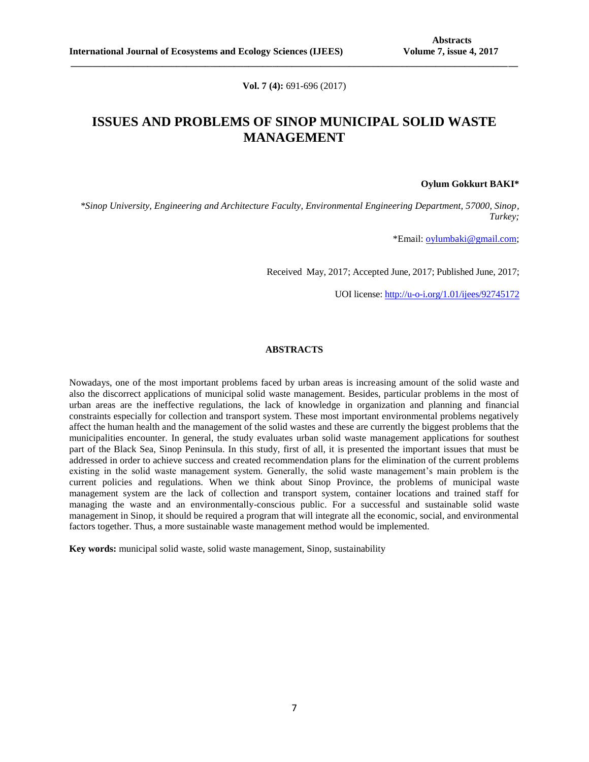**Vol. 7 (4):** 691-696 (2017)

**\_\_\_\_\_\_\_\_\_\_\_\_\_\_\_\_\_\_\_\_\_\_\_\_\_\_\_\_\_\_\_\_\_\_\_\_\_\_\_\_\_\_\_\_\_\_\_\_\_\_\_\_\_\_\_\_\_\_\_\_\_\_\_\_\_\_\_\_\_\_\_\_\_\_\_\_\_\_\_\_\_\_\_\_\_\_\_\_\_\_\_\_\_**

# **ISSUES AND PROBLEMS OF SINOP MUNICIPAL SOLID WASTE MANAGEMENT**

**Oylum Gokkurt BAKI\***

*\*Sinop University, Engineering and Architecture Faculty, Environmental Engineering Department, 57000, Sinop, Turkey;*

\*Email[: oylumbaki@gmail.com;](mailto:oylumbaki@gmail.com)

Received May, 2017; Accepted June, 2017; Published June, 2017;

UOI license: [http://u-o-i.org/1.01/ijees/92745172](http://www.u-o-i.org/index.php/ArticleLicense/index/1371)

## **ABSTRACTS**

Nowadays, one of the most important problems faced by urban areas is increasing amount of the solid waste and also the discorrect applications of municipal solid waste management. Besides, particular problems in the most of urban areas are the ineffective regulations, the lack of knowledge in organization and planning and financial constraints especially for collection and transport system. These most important environmental problems negatively affect the human health and the management of the solid wastes and these are currently the biggest problems that the municipalities encounter. In general, the study evaluates urban solid waste management applications for southest part of the Black Sea, Sinop Peninsula. In this study, first of all, it is presented the important issues that must be addressed in order to achieve success and created recommendation plans for the elimination of the current problems existing in the solid waste management system. Generally, the solid waste management's main problem is the current policies and regulations. When we think about Sinop Province, the problems of municipal waste management system are the lack of collection and transport system, container locations and trained staff for managing the waste and an environmentally-conscious public. For a successful and sustainable solid waste management in Sinop, it should be required a program that will integrate all the economic, social, and environmental factors together. Thus, a more sustainable waste management method would be implemented.

**Key words:** municipal solid waste, solid waste management, Sinop, sustainability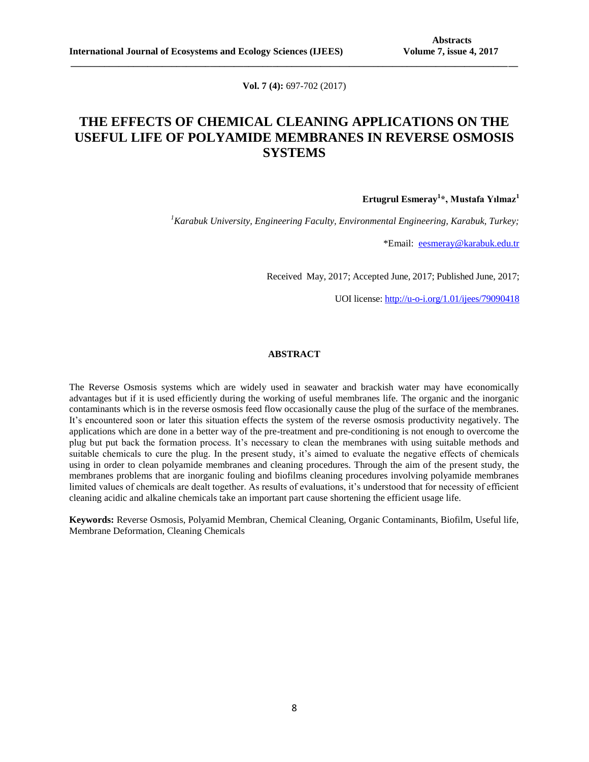**Vol. 7 (4):** 697-702 (2017)

**\_\_\_\_\_\_\_\_\_\_\_\_\_\_\_\_\_\_\_\_\_\_\_\_\_\_\_\_\_\_\_\_\_\_\_\_\_\_\_\_\_\_\_\_\_\_\_\_\_\_\_\_\_\_\_\_\_\_\_\_\_\_\_\_\_\_\_\_\_\_\_\_\_\_\_\_\_\_\_\_\_\_\_\_\_\_\_\_\_\_\_\_\_**

# **THE EFFECTS OF CHEMICAL CLEANING APPLICATIONS ON THE USEFUL LIFE OF POLYAMIDE MEMBRANES IN REVERSE OSMOSIS SYSTEMS**

**Ertugrul Esmeray<sup>1</sup> \*, Mustafa Yılmaz<sup>1</sup>**

*<sup>1</sup>Karabuk University, Engineering Faculty, Environmental Engineering, Karabuk, Turkey;*

\*Email: [eesmeray@karabuk.edu.tr](mailto:eesmeray@karabuk.edu.tr)

Received May, 2017; Accepted June, 2017; Published June, 2017;

UOI license: [http://u-o-i.org/1.01/ijees/79090418](http://www.u-o-i.org/index.php/ArticleLicense/index/1372)

### **ABSTRACT**

The Reverse Osmosis systems which are widely used in seawater and brackish water may have economically advantages but if it is used efficiently during the working of useful membranes life. The organic and the inorganic contaminants which is in the reverse osmosis feed flow occasionally cause the plug of the surface of the membranes. It's encountered soon or later this situation effects the system of the reverse osmosis productivity negatively. The applications which are done in a better way of the pre-treatment and pre-conditioning is not enough to overcome the plug but put back the formation process. It's necessary to clean the membranes with using suitable methods and suitable chemicals to cure the plug. In the present study, it's aimed to evaluate the negative effects of chemicals using in order to clean polyamide membranes and cleaning procedures. Through the aim of the present study, the membranes problems that are inorganic fouling and biofilms cleaning procedures involving polyamide membranes limited values of chemicals are dealt together. As results of evaluations, it's understood that for necessity of efficient cleaning acidic and alkaline chemicals take an important part cause shortening the efficient usage life.

**Keywords:** Reverse Osmosis, Polyamid Membran, Chemical Cleaning, Organic Contaminants, Biofilm, Useful life, Membrane Deformation, Cleaning Chemicals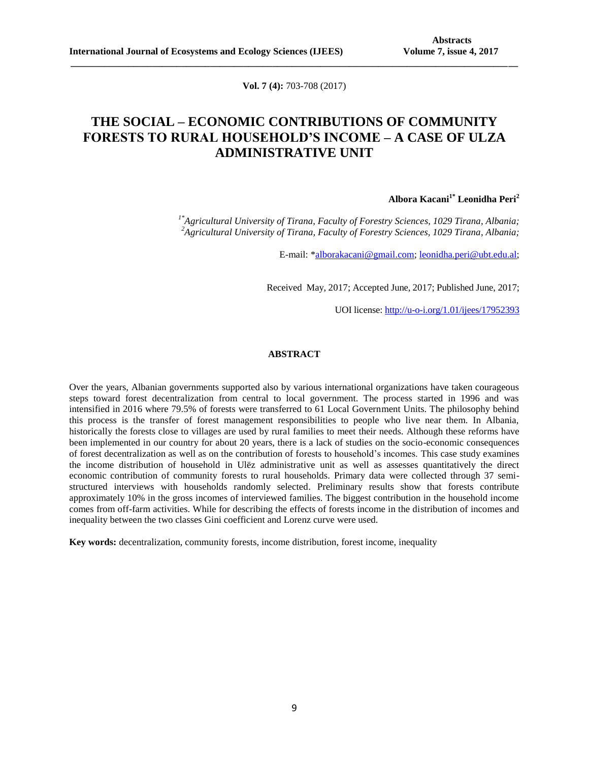**Vol. 7 (4):** 703-708 (2017)

**\_\_\_\_\_\_\_\_\_\_\_\_\_\_\_\_\_\_\_\_\_\_\_\_\_\_\_\_\_\_\_\_\_\_\_\_\_\_\_\_\_\_\_\_\_\_\_\_\_\_\_\_\_\_\_\_\_\_\_\_\_\_\_\_\_\_\_\_\_\_\_\_\_\_\_\_\_\_\_\_\_\_\_\_\_\_\_\_\_\_\_\_\_**

# **THE SOCIAL – ECONOMIC CONTRIBUTIONS OF COMMUNITY FORESTS TO RURAL HOUSEHOLD'S INCOME – A CASE OF ULZA ADMINISTRATIVE UNIT**

## **Albora Kacani1\* Leonidha Peri<sup>2</sup>**

*1\*Agricultural University of Tirana, Faculty of Forestry Sciences, 1029 Tirana, Albania; <sup>2</sup>Agricultural University of Tirana, Faculty of Forestry Sciences, 1029 Tirana, Albania;*

E-mail: [\\*alborakacani@gmail.com;](mailto:alborakacani@gmail.com) [leonidha.peri@ubt.edu.al;](mailto:leonidha.peri@ubt.edu.al)

Received May, 2017; Accepted June, 2017; Published June, 2017;

UOI license: [http://u-o-i.org/1.01/ijees/17952393](http://www.u-o-i.org/index.php/ArticleLicense/index/1373)

### **ABSTRACT**

Over the years, Albanian governments supported also by various international organizations have taken courageous steps toward forest decentralization from central to local government. The process started in 1996 and was intensified in 2016 where 79.5% of forests were transferred to 61 Local Government Units. The philosophy behind this process is the transfer of forest management responsibilities to people who live near them. In Albania, historically the forests close to villages are used by rural families to meet their needs. Although these reforms have been implemented in our country for about 20 years, there is a lack of studies on the socio-economic consequences of forest decentralization as well as on the contribution of forests to household's incomes. This case study examines the income distribution of household in Ulëz administrative unit as well as assesses quantitatively the direct economic contribution of community forests to rural households. Primary data were collected through 37 semistructured interviews with households randomly selected. Preliminary results show that forests contribute approximately 10% in the gross incomes of interviewed families. The biggest contribution in the household income comes from off-farm activities. While for describing the effects of forests income in the distribution of incomes and inequality between the two classes Gini coefficient and Lorenz curve were used.

**Key words:** decentralization, community forests, income distribution, forest income, inequality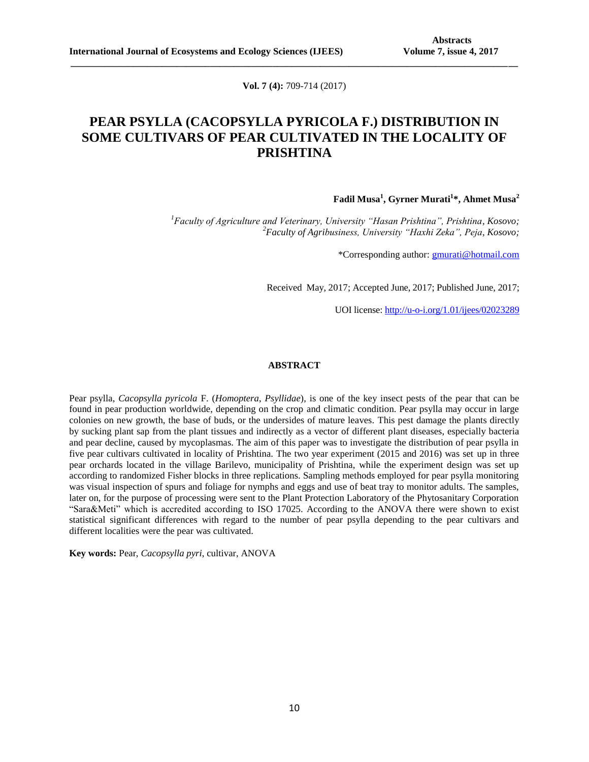**Vol. 7 (4):** 709-714 (2017)

**\_\_\_\_\_\_\_\_\_\_\_\_\_\_\_\_\_\_\_\_\_\_\_\_\_\_\_\_\_\_\_\_\_\_\_\_\_\_\_\_\_\_\_\_\_\_\_\_\_\_\_\_\_\_\_\_\_\_\_\_\_\_\_\_\_\_\_\_\_\_\_\_\_\_\_\_\_\_\_\_\_\_\_\_\_\_\_\_\_\_\_\_\_**

# **PEAR PSYLLA (CACOPSYLLA PYRICOLA F.) DISTRIBUTION IN SOME CULTIVARS OF PEAR CULTIVATED IN THE LOCALITY OF PRISHTINA**

## **Fadil Musa<sup>1</sup> , Gyrner Murati<sup>1</sup> \*, Ahmet Musa<sup>2</sup>**

*<sup>1</sup>Faculty of Agriculture and Veterinary, University "Hasan Prishtina", Prishtina, Kosovo; <sup>2</sup>Faculty of Agribusiness, University "Haxhi Zeka", Peja, Kosovo;*

\*Corresponding author: [gmurati@hotmail.com](mailto:gmurati@hotmail.com)

Received May, 2017; Accepted June, 2017; Published June, 2017;

UOI license: [http://u-o-i.org/1.01/ijees/02023289](http://www.u-o-i.org/index.php/ArticleLicense/index/1374)

### **ABSTRACT**

Pear psylla, *Cacopsylla pyricola* F. (*Homoptera*, *Psyllidae*), is one of the key insect pests of the pear that can be found in pear production worldwide, depending on the crop and climatic condition. Pear psylla may occur in large colonies on new growth, the base of buds, or the undersides of mature leaves. This pest damage the plants directly by sucking plant sap from the plant tissues and indirectly as a vector of different plant diseases, especially bacteria and pear decline, caused by mycoplasmas. The aim of this paper was to investigate the distribution of pear psylla in five pear cultivars cultivated in locality of Prishtina. The two year experiment (2015 and 2016) was set up in three pear orchards located in the village Barilevo, municipality of Prishtina, while the experiment design was set up according to randomized Fisher blocks in three replications. Sampling methods employed for pear psylla monitoring was visual inspection of spurs and foliage for nymphs and eggs and use of beat tray to monitor adults. The samples, later on, for the purpose of processing were sent to the Plant Protection Laboratory of the Phytosanitary Corporation "Sara&Meti" which is accredited according to ISO 17025. According to the ANOVA there were shown to exist statistical significant differences with regard to the number of pear psylla depending to the pear cultivars and different localities were the pear was cultivated.

**Key words:** Pear, *Cacopsylla pyri*, cultivar, ANOVA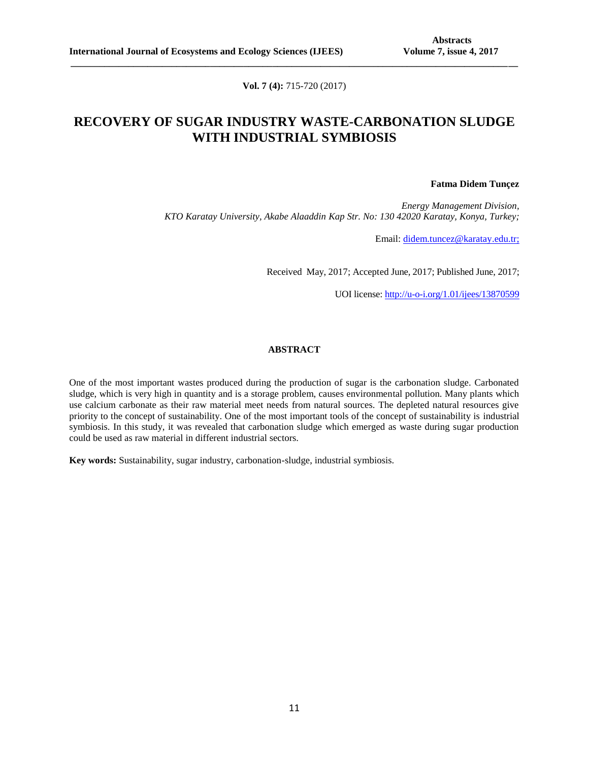**Vol. 7 (4):** 715-720 (2017)

**\_\_\_\_\_\_\_\_\_\_\_\_\_\_\_\_\_\_\_\_\_\_\_\_\_\_\_\_\_\_\_\_\_\_\_\_\_\_\_\_\_\_\_\_\_\_\_\_\_\_\_\_\_\_\_\_\_\_\_\_\_\_\_\_\_\_\_\_\_\_\_\_\_\_\_\_\_\_\_\_\_\_\_\_\_\_\_\_\_\_\_\_\_**

# **RECOVERY OF SUGAR INDUSTRY WASTE-CARBONATION SLUDGE WITH INDUSTRIAL SYMBIOSIS**

### **Fatma Didem Tunçez**

*Energy Management Division, KTO Karatay University, Akabe Alaaddin Kap Str. No: 130 42020 Karatay, Konya, Turkey;*

Email: [didem.tuncez@karatay.edu.tr;](mailto:didem.tuncez@karatay.edu.tr)

Received May, 2017; Accepted June, 2017; Published June, 2017;

UOI license: [http://u-o-i.org/1.01/ijees/13870599](http://www.u-o-i.org/index.php/ArticleLicense/index/1375)

## **ABSTRACT**

One of the most important wastes produced during the production of sugar is the carbonation sludge. Carbonated sludge, which is very high in quantity and is a storage problem, causes environmental pollution. Many plants which use calcium carbonate as their raw material meet needs from natural sources. The depleted natural resources give priority to the concept of sustainability. One of the most important tools of the concept of sustainability is industrial symbiosis. In this study, it was revealed that carbonation sludge which emerged as waste during sugar production could be used as raw material in different industrial sectors.

**Key words:** Sustainability, sugar industry, carbonation-sludge, industrial symbiosis.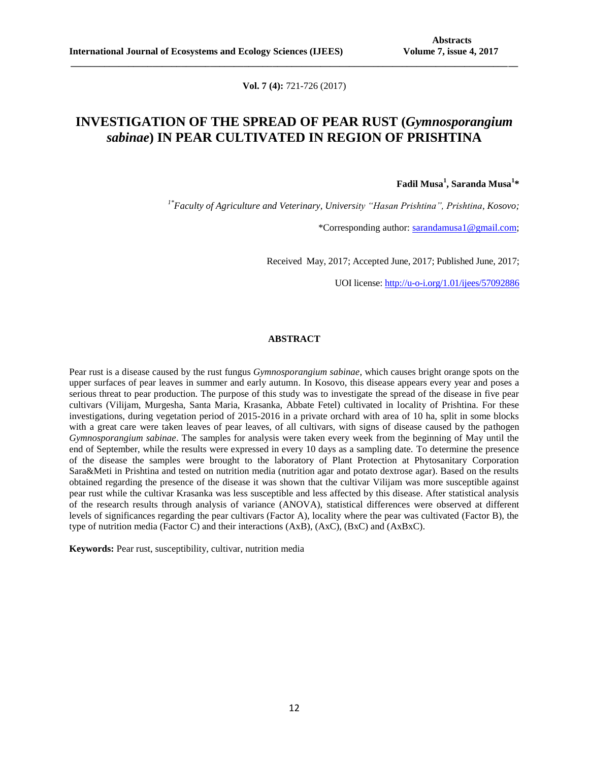**Vol. 7 (4):** 721-726 (2017)

**\_\_\_\_\_\_\_\_\_\_\_\_\_\_\_\_\_\_\_\_\_\_\_\_\_\_\_\_\_\_\_\_\_\_\_\_\_\_\_\_\_\_\_\_\_\_\_\_\_\_\_\_\_\_\_\_\_\_\_\_\_\_\_\_\_\_\_\_\_\_\_\_\_\_\_\_\_\_\_\_\_\_\_\_\_\_\_\_\_\_\_\_\_**

# **INVESTIGATION OF THE SPREAD OF PEAR RUST (***Gymnosporangium sabinae***) IN PEAR CULTIVATED IN REGION OF PRISHTINA**

**Fadil Musa<sup>1</sup> , Saranda Musa<sup>1</sup> \***

*1\*Faculty of Agriculture and Veterinary, University "Hasan Prishtina", Prishtina, Kosovo;*

\*Corresponding author: [sarandamusa1@gmail.com;](mailto:sarandamusa1@gmail.com)

Received May, 2017; Accepted June, 2017; Published June, 2017;

UOI license: [http://u-o-i.org/1.01/ijees/57092886](http://www.u-o-i.org/index.php/ArticleLicense/index/1376)

### **ABSTRACT**

Pear rust is a disease caused by the rust fungus *Gymnosporangium sabinae*, which causes bright orange spots on the upper surfaces of pear leaves in summer and early autumn. In Kosovo, this disease appears every year and poses a serious threat to pear production. The purpose of this study was to investigate the spread of the disease in five pear cultivars (Vilijam, Murgesha, Santa Maria, Krasanka, Abbate Fetel) cultivated in locality of Prishtina. For these investigations, during vegetation period of 2015-2016 in a private orchard with area of 10 ha, split in some blocks with a great care were taken leaves of pear leaves, of all cultivars, with signs of disease caused by the pathogen *Gymnosporangium sabinae*. The samples for analysis were taken every week from the beginning of May until the end of September, while the results were expressed in every 10 days as a sampling date. To determine the presence of the disease the samples were brought to the laboratory of Plant Protection at Phytosanitary Corporation Sara&Meti in Prishtina and tested on nutrition media (nutrition agar and potato dextrose agar). Based on the results obtained regarding the presence of the disease it was shown that the cultivar Vilijam was more susceptible against pear rust while the cultivar Krasanka was less susceptible and less affected by this disease. After statistical analysis of the research results through analysis of variance (ANOVA), statistical differences were observed at different levels of significances regarding the pear cultivars (Factor A), locality where the pear was cultivated (Factor B), the type of nutrition media (Factor C) and their interactions (AxB), (AxC), (BxC) and (AxBxC).

**Keywords:** Pear rust, susceptibility, cultivar, nutrition media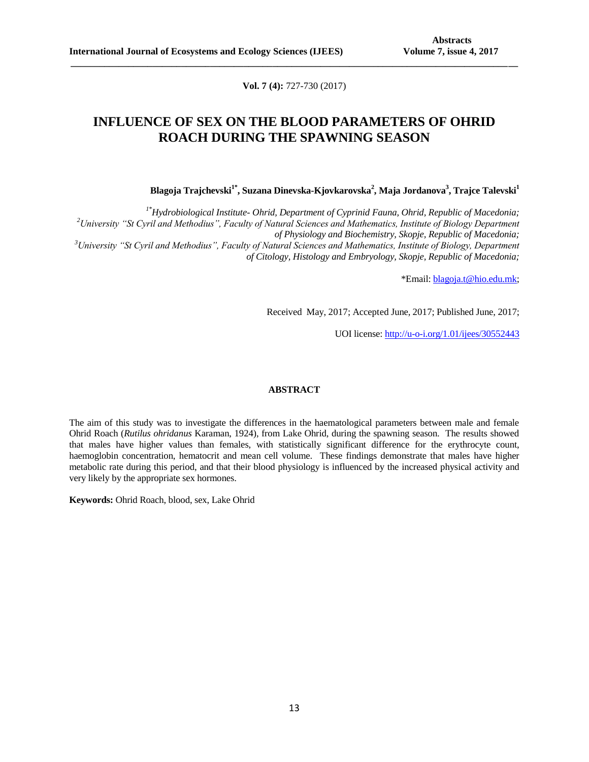**Vol. 7 (4):** 727-730 (2017)

**\_\_\_\_\_\_\_\_\_\_\_\_\_\_\_\_\_\_\_\_\_\_\_\_\_\_\_\_\_\_\_\_\_\_\_\_\_\_\_\_\_\_\_\_\_\_\_\_\_\_\_\_\_\_\_\_\_\_\_\_\_\_\_\_\_\_\_\_\_\_\_\_\_\_\_\_\_\_\_\_\_\_\_\_\_\_\_\_\_\_\_\_\_**

# **INFLUENCE OF SEX ON THE BLOOD PARAMETERS OF OHRID ROACH DURING THE SPAWNING SEASON**

**Blagoja Trajchevski1\* , Suzana Dinevska-Kjovkarovska<sup>2</sup> , Maja Jordanova<sup>3</sup> , Trajce Talevski<sup>1</sup>**

*1\*Hydrobiological Institute- Ohrid, Department of Cyprinid Fauna, Ohrid, Republic of Macedonia; <sup>2</sup>University "St Cyril and Methodius", Faculty of Natural Sciences and Mathematics, Institute of Biology Department of Physiology and Biochemistry, Skopje, Republic of Macedonia; <sup>3</sup>University "St Cyril and Methodius", Faculty of Natural Sciences and Mathematics, Institute of Biology, Department of Citology, Histology and Embryology, Skopje, Republic of Macedonia;*

\*Email[: blagoja.t@hio.edu.mk;](mailto:blagoja.t@hio.edu.mk)

Received May, 2017; Accepted June, 2017; Published June, 2017;

UOI license: [http://u-o-i.org/1.01/ijees/30552443](http://www.u-o-i.org/index.php/ArticleLicense/index/1377)

## **ABSTRACT**

The aim of this study was to investigate the differences in the haematological parameters between male and female Ohrid Roach (*Rutilus ohridanus* Karaman, 1924), from Lake Ohrid, during the spawning season. The results showed that males have higher values than females, with statistically significant difference for the erythrocyte count, haemoglobin concentration, hematocrit and mean cell volume. These findings demonstrate that males have higher metabolic rate during this period, and that their blood physiology is influenced by the increased physical activity and very likely by the appropriate sex hormones.

**Keywords:** Ohrid Roach, blood, sex, Lake Ohrid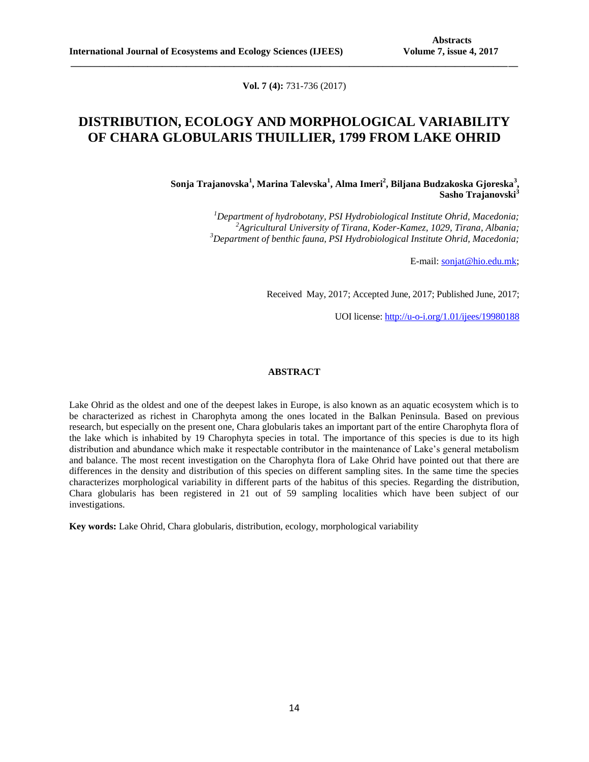**Vol. 7 (4):** 731-736 (2017)

**\_\_\_\_\_\_\_\_\_\_\_\_\_\_\_\_\_\_\_\_\_\_\_\_\_\_\_\_\_\_\_\_\_\_\_\_\_\_\_\_\_\_\_\_\_\_\_\_\_\_\_\_\_\_\_\_\_\_\_\_\_\_\_\_\_\_\_\_\_\_\_\_\_\_\_\_\_\_\_\_\_\_\_\_\_\_\_\_\_\_\_\_\_**

# **DISTRIBUTION, ECOLOGY AND MORPHOLOGICAL VARIABILITY OF CHARA GLOBULARIS THUILLIER, 1799 FROM LAKE OHRID**

**Sonja Trajanovska<sup>1</sup> , Marina Talevska<sup>1</sup> , Alma Imeri<sup>2</sup> , Biljana Budzakoska Gjoreska<sup>3</sup> , Sasho Trajanovski<sup>3</sup>**

> *<sup>1</sup>Department of hydrobotany, PSI Hydrobiological Institute Ohrid, Macedonia; <sup>2</sup>Agricultural University of Tirana, Koder-Kamez, 1029, Tirana, Albania; <sup>3</sup>Department of benthic fauna, PSI Hydrobiological Institute Ohrid, Macedonia;*

> > E-mail: [sonjat@hio.edu.mk;](mailto:sonjat@hio.edu.mk)

Received May, 2017; Accepted June, 2017; Published June, 2017;

UOI license: [http://u-o-i.org/1.01/ijees/19980188](http://www.u-o-i.org/index.php/ArticleLicense/index/1378)

## **ABSTRACT**

Lake Ohrid as the oldest and one of the deepest lakes in Europe, is also known as an aquatic ecosystem which is to be characterized as richest in Charophyta among the ones located in the Balkan Peninsula. Based on previous research, but especially on the present one, Chara globularis takes an important part of the entire Charophyta flora of the lake which is inhabited by 19 Charophyta species in total. The importance of this species is due to its high distribution and abundance which make it respectable contributor in the maintenance of Lake's general metabolism and balance. The most recent investigation on the Charophyta flora of Lake Ohrid have pointed out that there are differences in the density and distribution of this species on different sampling sites. In the same time the species characterizes morphological variability in different parts of the habitus of this species. Regarding the distribution, Chara globularis has been registered in 21 out of 59 sampling localities which have been subject of our investigations.

**Key words:** Lake Ohrid, Chara globularis, distribution, ecology, morphological variability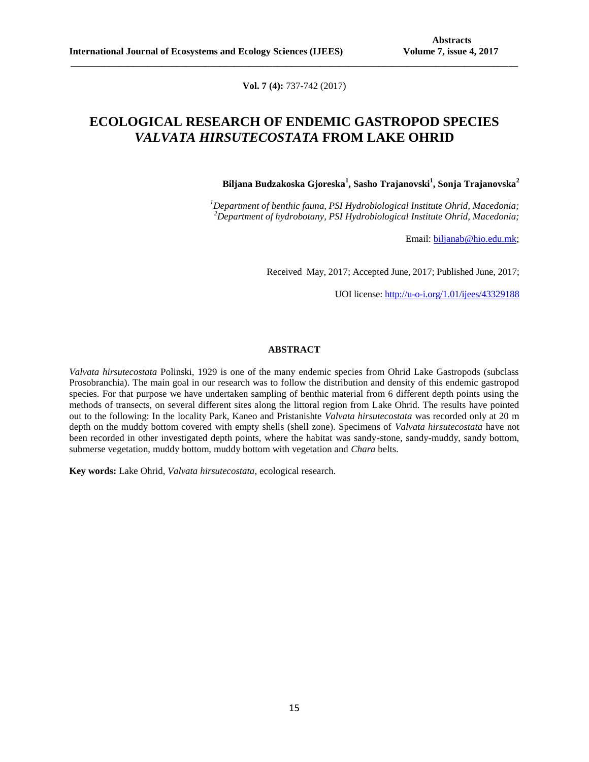**Vol. 7 (4):** 737-742 (2017)

**\_\_\_\_\_\_\_\_\_\_\_\_\_\_\_\_\_\_\_\_\_\_\_\_\_\_\_\_\_\_\_\_\_\_\_\_\_\_\_\_\_\_\_\_\_\_\_\_\_\_\_\_\_\_\_\_\_\_\_\_\_\_\_\_\_\_\_\_\_\_\_\_\_\_\_\_\_\_\_\_\_\_\_\_\_\_\_\_\_\_\_\_\_**

# **ECOLOGICAL RESEARCH OF ENDEMIC GASTROPOD SPECIES**  *VALVATA HIRSUTECOSTATA* **FROM LAKE OHRID**

**Biljana Budzakoska Gjoreska<sup>1</sup> , Sasho Trajanovski<sup>1</sup> , Sonja Trajanovska<sup>2</sup>**

*<sup>1</sup>Department of benthic fauna, PSI Hydrobiological Institute Ohrid, Macedonia; <sup>2</sup>Department of hydrobotany, PSI Hydrobiological Institute Ohrid, Macedonia;*

Email: [biljanab@hio.edu.mk;](mailto:biljanab@hio.edu.mk)

Received May, 2017; Accepted June, 2017; Published June, 2017;

UOI license: [http://u-o-i.org/1.01/ijees/43329188](http://www.u-o-i.org/index.php/ArticleLicense/index/1379)

### **ABSTRACT**

*Valvata hirsutecostata* Polinski, 1929 is one of the many endemic species from Ohrid Lake Gastropods (subclass Prosobranchia). The main goal in our research was to follow the distribution and density of this endemic gastropod species. For that purpose we have undertaken sampling of benthic material from 6 different depth points using the methods of transects, on several different sites along the littoral region from Lake Ohrid. The results have pointed out to the following: In the locality Park, Kaneo and Pristanishte *Valvata hirsutecostata* was recorded only at 20 m depth on the muddy bottom covered with empty shells (shell zone). Specimens of *Valvata hirsutecostata* have not been recorded in other investigated depth points, where the habitat was sandy-stone, sandy-muddy, sandy bottom, submerse vegetation, muddy bottom, muddy bottom with vegetation and *Chara* belts.

**Key words:** Lake Ohrid, *Valvata hirsutecostata*, ecological research.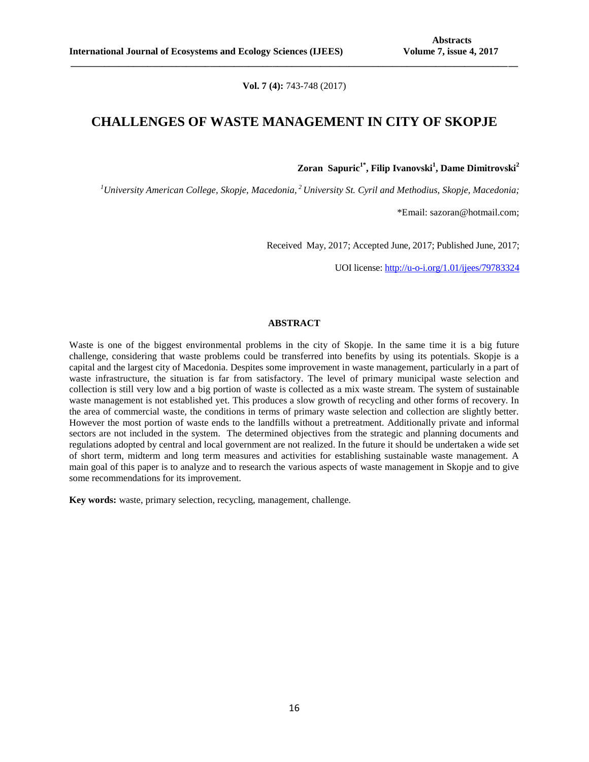**Vol. 7 (4):** 743-748 (2017)

**\_\_\_\_\_\_\_\_\_\_\_\_\_\_\_\_\_\_\_\_\_\_\_\_\_\_\_\_\_\_\_\_\_\_\_\_\_\_\_\_\_\_\_\_\_\_\_\_\_\_\_\_\_\_\_\_\_\_\_\_\_\_\_\_\_\_\_\_\_\_\_\_\_\_\_\_\_\_\_\_\_\_\_\_\_\_\_\_\_\_\_\_\_**

## **CHALLENGES OF WASTE MANAGEMENT IN CITY OF SKOPJE**

**Zoran Sapuric1\* , Filip Ivanovski<sup>1</sup> , Dame Dimitrovski<sup>2</sup>**

*<sup>1</sup>University American College, Skopje, Macedonia, <sup>2</sup>University St. Cyril and Methodius, Skopje, Macedonia;*

\*Email: [sazoran@hotmail.com;](mailto:sazoran@hotmail.com)

Received May, 2017; Accepted June, 2017; Published June, 2017;

UOI license: [http://u-o-i.org/1.01/ijees/79783324](http://www.u-o-i.org/index.php/ArticleLicense/index/1380)

## **ABSTRACT**

Waste is one of the biggest environmental problems in the city of Skopje. In the same time it is а big future challenge, considering that waste problems could be transferred into benefits by using its potentials. Skopje is a capital and the largest city of Macedonia. Despites some improvement in waste management, particularly in a part of waste infrastructure, the situation is far from satisfactory. The level of primary municipal waste selection and collection is still very low and а big portion of waste is collected as а mix waste stream. The system of sustainable waste management is not established yet. This produces a slow growth of recycling and other forms of recovery. In the area of commercial waste, the conditions in terms of primary waste selection and collection are slightly better. However the most portion of waste ends to the landfills without a pretreatment. Additionally private and informal sectors are not included in the system. The determined objectives from the strategic and planning documents and regulations adopted by central and local government are not realized. In the future it should be undertaken a wide set of short term, midterm and long term measures and activities for establishing sustainable waste management. A main goal of this paper is to analyze and to research the various aspects of waste management in Skopje and to give some recommendations for its improvement.

**Key words:** waste, primary selection, recycling, management, challenge.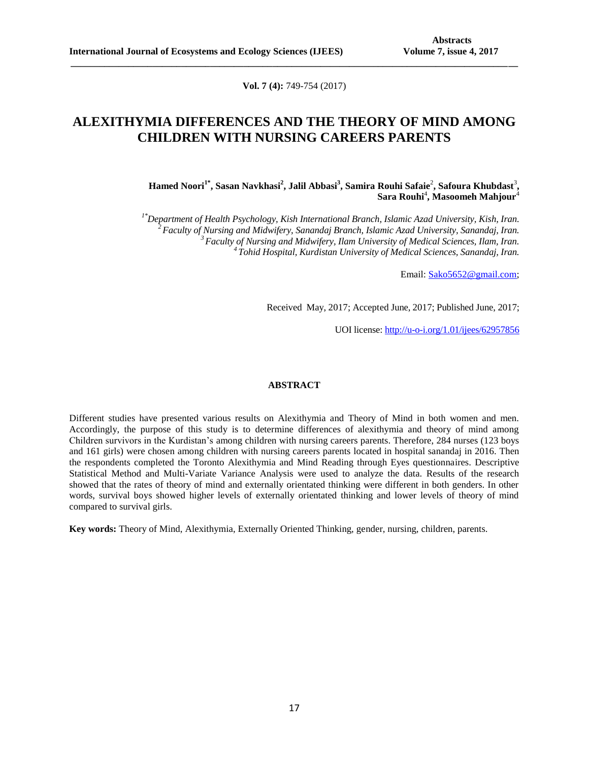**Vol. 7 (4):** 749-754 (2017)

**\_\_\_\_\_\_\_\_\_\_\_\_\_\_\_\_\_\_\_\_\_\_\_\_\_\_\_\_\_\_\_\_\_\_\_\_\_\_\_\_\_\_\_\_\_\_\_\_\_\_\_\_\_\_\_\_\_\_\_\_\_\_\_\_\_\_\_\_\_\_\_\_\_\_\_\_\_\_\_\_\_\_\_\_\_\_\_\_\_\_\_\_\_**

## **ALEXITHYMIA DIFFERENCES AND THE THEORY OF MIND AMONG CHILDREN WITH NURSING CAREERS PARENTS**

**Hamed Noori1\* , Sasan Navkhasi<sup>2</sup> , Jalil Abbasi<sup>3</sup> , Samira Rouhi Safaie**<sup>2</sup> **, Safoura Khubdast**<sup>3</sup> **,**   $\mathbf{Sara} \ \mathbf{Routhi}^4, \mathbf{Masoomeh} \ \mathbf{Mahjour}^4$ 

*1\*Department of Health Psychology, Kish International Branch, Islamic Azad University, Kish, Iran. Faculty of Nursing and Midwifery, Sanandaj Branch, Islamic Azad University, Sanandaj, Iran. Faculty of Nursing and Midwifery, Ilam University of Medical Sciences, Ilam, Iran. Tohid Hospital, Kurdistan University of Medical Sciences, Sanandaj, Iran.*

Email: [Sako5652@gmail.com;](mailto:Sako5652@gmail.com)

Received May, 2017; Accepted June, 2017; Published June, 2017;

UOI license: [http://u-o-i.org/1.01/ijees/62957856](http://www.u-o-i.org/index.php/ArticleLicense/index/1388)

#### **ABSTRACT**

Different studies have presented various results on Alexithymia and Theory of Mind in both women and men. Accordingly, the purpose of this study is to determine differences of alexithymia and theory of mind among Children survivors in the Kurdistan's among children with nursing careers parents. Therefore, 284 nurses (123 boys and 161 girls) were chosen among children with nursing careers parents located in hospital sanandaj in 2016. Then the respondents completed the Toronto Alexithymia and Mind Reading through Eyes questionnaires. Descriptive Statistical Method and Multi-Variate Variance Analysis were used to analyze the data. Results of the research showed that the rates of theory of mind and externally orientated thinking were different in both genders. In other words, survival boys showed higher levels of externally orientated thinking and lower levels of theory of mind compared to survival girls.

**Key words:** Theory of Mind, Alexithymia, Externally Oriented Thinking, gender, nursing, children, parents.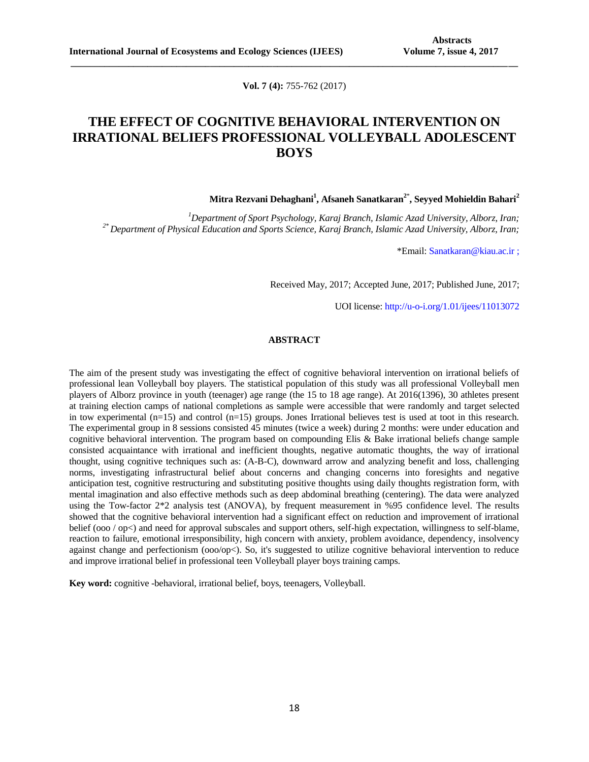**Vol. 7 (4):** 755-762 (2017)

**\_\_\_\_\_\_\_\_\_\_\_\_\_\_\_\_\_\_\_\_\_\_\_\_\_\_\_\_\_\_\_\_\_\_\_\_\_\_\_\_\_\_\_\_\_\_\_\_\_\_\_\_\_\_\_\_\_\_\_\_\_\_\_\_\_\_\_\_\_\_\_\_\_\_\_\_\_\_\_\_\_\_\_\_\_\_\_\_\_\_\_\_\_**

# **THE EFFECT OF COGNITIVE BEHAVIORAL INTERVENTION ON IRRATIONAL BELIEFS PROFESSIONAL VOLLEYBALL ADOLESCENT BOYS**

**Mitra Rezvani Dehaghani<sup>1</sup> , Afsaneh Sanatkaran<sup>2</sup>**\* **, Seyyed Mohieldin Bahari<sup>2</sup>**

*<sup>1</sup>Department of Sport Psychology, Karaj Branch, Islamic Azad University, Alborz, Iran; 2\* Department of Physical Education and Sports Science, Karaj Branch, Islamic Azad University, Alborz, Iran;*

\*Email: Sanatkaran@kiau.ac.ir ;

Received May, 2017; Accepted June, 2017; Published June, 2017;

UOI license: http://u-o-i.org/1.01/ijees/11013072

## **ABSTRACT**

The aim of the present study was investigating the effect of cognitive behavioral intervention on irrational beliefs of professional lean Volleyball boy players. The statistical population of this study was all professional Volleyball men players of Alborz province in youth (teenager) age range (the 15 to 18 age range). At 2016(1396), 30 athletes present at training election camps of national completions as sample were accessible that were randomly and target selected in tow experimental  $(n=15)$  and control  $(n=15)$  groups. Jones Irrational believes test is used at toot in this research. The experimental group in 8 sessions consisted 45 minutes (twice a week) during 2 months: were under education and cognitive behavioral intervention. The program based on compounding Elis & Bake irrational beliefs change sample consisted acquaintance with irrational and inefficient thoughts, negative automatic thoughts, the way of irrational thought, using cognitive techniques such as: (A-B-C), downward arrow and analyzing benefit and loss, challenging norms, investigating infrastructural belief about concerns and changing concerns into foresights and negative anticipation test, cognitive restructuring and substituting positive thoughts using daily thoughts registration form, with mental imagination and also effective methods such as deep abdominal breathing (centering). The data were analyzed using the Tow-factor 2\*2 analysis test (ANOVA), by frequent measurement in %95 confidence level. The results showed that the cognitive behavioral intervention had a significant effect on reduction and improvement of irrational belief (ooo / op<) and need for approval subscales and support others, self-high expectation, willingness to self-blame, reaction to failure, emotional irresponsibility, high concern with anxiety, problem avoidance, dependency, insolvency against change and perfectionism (ooo/op<). So, it's suggested to utilize cognitive behavioral intervention to reduce and improve irrational belief in professional teen Volleyball player boys training camps.

**Key word:** cognitive -behavioral, irrational belief, boys, teenagers, Volleyball.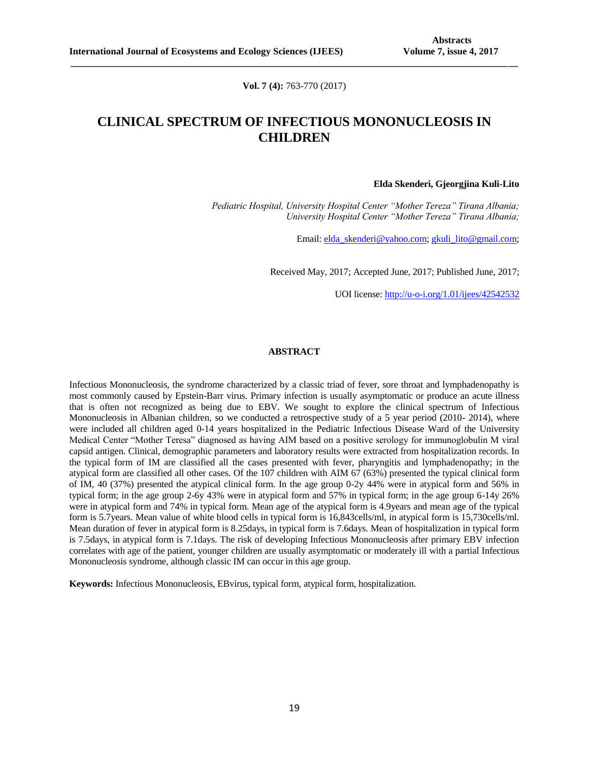**Vol. 7 (4):** 763-770 (2017)

**\_\_\_\_\_\_\_\_\_\_\_\_\_\_\_\_\_\_\_\_\_\_\_\_\_\_\_\_\_\_\_\_\_\_\_\_\_\_\_\_\_\_\_\_\_\_\_\_\_\_\_\_\_\_\_\_\_\_\_\_\_\_\_\_\_\_\_\_\_\_\_\_\_\_\_\_\_\_\_\_\_\_\_\_\_\_\_\_\_\_\_\_\_**

# **CLINICAL SPECTRUM OF INFECTIOUS MONONUCLEOSIS IN CHILDREN**

#### **Elda Skenderi, Gjeorgjina Kuli-Lito**

*Pediatric Hospital, University Hospital Center "Mother Tereza" Tirana Albania; University Hospital Center "Mother Tereza" Tirana Albania;*

Email: [elda\\_skenderi@yahoo.com;](mailto:elda_skenderi@yahoo.com) [gkuli\\_lito@gmail.com;](mailto:gkuli_lito@gmail.com)

Received May, 2017; Accepted June, 2017; Published June, 2017;

UOI license: [http://u-o-i.org/1.01/ijees/42542532](http://www.u-o-i.org/index.php/ArticleLicense/index/1454)

### **ABSTRACT**

Infectious Mononucleosis, the syndrome characterized by a classic triad of fever, sore throat and lymphadenopathy is most commonly caused by Epstein-Barr virus. Primary infection is usually asymptomatic or produce an acute illness that is often not recognized as being due to EBV. We sought to explore the clinical spectrum of Infectious Mononucleosis in Albanian children, so we conducted a retrospective study of a 5 year period (2010- 2014), where were included all children aged 0-14 years hospitalized in the Pediatric Infectious Disease Ward of the University Medical Center "Mother Teresa" diagnosed as having AIM based on a positive serology for immunoglobulin M viral capsid antigen. Clinical, demographic parameters and laboratory results were extracted from hospitalization records. In the typical form of IM are classified all the cases presented with fever, pharyngitis and lymphadenopathy; in the atypical form are classified all other cases. Of the 107 children with AIM 67 (63%) presented the typical clinical form of IM, 40 (37%) presented the atypical clinical form. In the age group 0-2y 44% were in atypical form and 56% in typical form; in the age group 2-6y 43% were in atypical form and 57% in typical form; in the age group 6-14y 26% were in atypical form and 74% in typical form. Mean age of the atypical form is 4.9years and mean age of the typical form is 5.7years. Mean value of white blood cells in typical form is 16,843cells/ml, in atypical form is 15,730cells/ml. Mean duration of fever in atypical form is 8.25days, in typical form is 7.6days. Mean of hospitalization in typical form is 7.5days, in atypical form is 7.1days. The risk of developing Infectious Mononucleosis after primary EBV infection correlates with age of the patient, younger children are usually asymptomatic or moderately ill with a partial Infectious Mononucleosis syndrome, although classic IM can occur in this age group.

**Keywords:** Infectious Mononucleosis, EBvirus, typical form, atypical form, hospitalization.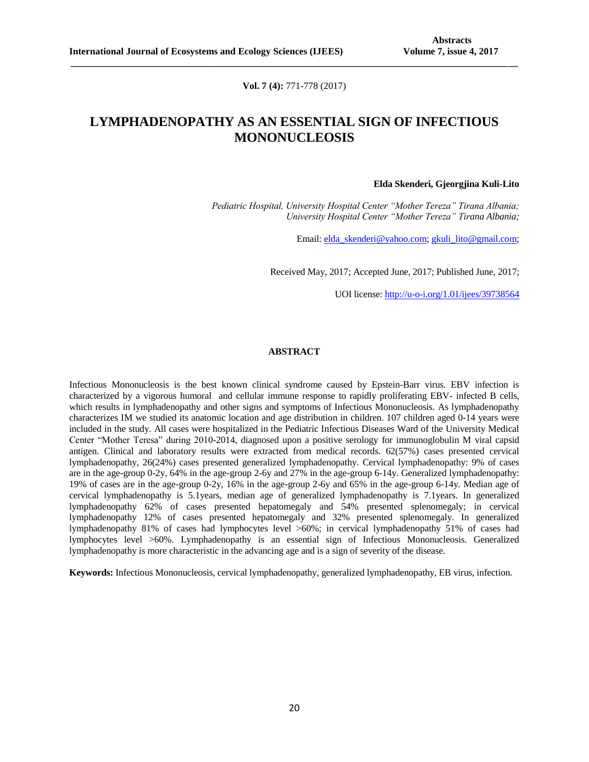**Vol. 7 (4):** 771-778 (2017)

**\_\_\_\_\_\_\_\_\_\_\_\_\_\_\_\_\_\_\_\_\_\_\_\_\_\_\_\_\_\_\_\_\_\_\_\_\_\_\_\_\_\_\_\_\_\_\_\_\_\_\_\_\_\_\_\_\_\_\_\_\_\_\_\_\_\_\_\_\_\_\_\_\_\_\_\_\_\_\_\_\_\_\_\_\_\_\_\_\_\_\_\_\_**

# **LYMPHADENOPATHY AS AN ESSENTIAL SIGN OF INFECTIOUS MONONUCLEOSIS**

#### **Elda Skenderi, Gjeorgjina Kuli-Lito**

*Pediatric Hospital, University Hospital Center "Mother Tereza" Tirana Albania; University Hospital Center "Mother Tereza" Tirana Albania;*

Email: [elda\\_skenderi@yahoo.com;](mailto:elda_skenderi@yahoo.com) [gkuli\\_lito@gmail.com;](mailto:gkuli_lito@gmail.com)

Received May, 2017; Accepted June, 2017; Published June, 2017;

UOI license: [http://u-o-i.org/1.01/ijees/39738564](http://www.u-o-i.org/index.php/ArticleLicense/index/1455)

### **ABSTRACT**

Infectious Mononucleosis is the best known clinical syndrome caused by Epstein-Barr virus. EBV infection is characterized by a vigorous humoral and cellular immune response to rapidly proliferating EBV- infected B cells, which results in lymphadenopathy and other signs and symptoms of Infectious Mononucleosis. As lymphadenopathy characterizes IM we studied its anatomic location and age distribution in children. 107 children aged 0-14 years were included in the study. All cases were hospitalized in the Pediatric Infectious Diseases Ward of the University Medical Center "Mother Teresa" during 2010-2014, diagnosed upon a positive serology for immunoglobulin M viral capsid antigen. Clinical and laboratory results were extracted from medical records. 62(57%) cases presented cervical lymphadenopathy, 26(24%) cases presented generalized lymphadenopathy. Cervical lymphadenopathy: 9% of cases are in the age-group 0-2y, 64% in the age-group 2-6y and 27% in the age-group 6-14y. Generalized lymphadenopathy: 19% of cases are in the age-group 0-2y, 16% in the age-group 2-6y and 65% in the age-group 6-14y. Median age of cervical lymphadenopathy is 5.1years, median age of generalized lymphadenopathy is 7.1years. In generalized lymphadenopathy 62% of cases presented hepatomegaly and 54% presented splenomegaly; in cervical lymphadenopathy 12% of cases presented hepatomegaly and 32% presented splenomegaly. In generalized lymphadenopathy 81% of cases had lymphocytes level >60%; in cervical lymphadenopathy 51% of cases had lymphocytes level >60%. Lymphadenopathy is an essential sign of Infectious Mononucleosis. Generalized lymphadenopathy is more characteristic in the advancing age and is a sign of severity of the disease.

**Keywords:** Infectious Mononucleosis, cervical lymphadenopathy, generalized lymphadenopathy, EB virus, infection.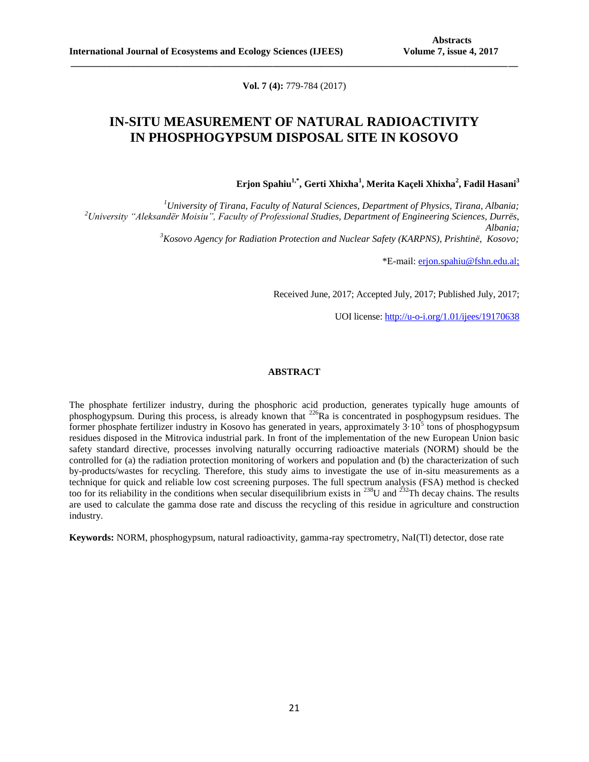**Vol. 7 (4):** 779-784 (2017)

**\_\_\_\_\_\_\_\_\_\_\_\_\_\_\_\_\_\_\_\_\_\_\_\_\_\_\_\_\_\_\_\_\_\_\_\_\_\_\_\_\_\_\_\_\_\_\_\_\_\_\_\_\_\_\_\_\_\_\_\_\_\_\_\_\_\_\_\_\_\_\_\_\_\_\_\_\_\_\_\_\_\_\_\_\_\_\_\_\_\_\_\_\_**

# **IN-SITU MEASUREMENT OF NATURAL RADIOACTIVITY IN PHOSPHOGYPSUM DISPOSAL SITE IN KOSOVO**

**Erjon Spahiu1,\*, Gerti Xhixha<sup>1</sup> , Merita Kaçeli Xhixha<sup>2</sup> , Fadil Hasani<sup>3</sup>**

*University of Tirana, Faculty of Natural Sciences, Department of Physics, Tirana, Albania; University "Aleksandër Moisiu", Faculty of Professional Studies, Department of Engineering Sciences, Durrës, Albania; Kosovo Agency for Radiation Protection and Nuclear Safety (KARPNS), Prishtinë, Kosovo;*

\*E-mail: [erjon.spahiu@fshn.edu.al;](mailto:erjon.spahiu@fshn.edu.al)

Received June, 2017; Accepted July, 2017; Published July, 2017;

UOI license: [http://u-o-i.org/1.01/ijees/19170638](http://www.u-o-i.org/index.php/ArticleLicense/index/1473)

### **ABSTRACT**

The phosphate fertilizer industry, during the phosphoric acid production, generates typically huge amounts of phosphogypsum. During this process, is already known that <sup>226</sup>Ra is concentrated in posphogypsum residues. The former phosphate fertilizer industry in Kosovo has generated in years, approximately  $3.10^5$  tons of phosphogypsum residues disposed in the Mitrovica industrial park. In front of the implementation of the new European Union basic safety standard directive, processes involving naturally occurring radioactive materials (NORM) should be the controlled for (a) the radiation protection monitoring of workers and population and (b) the characterization of such by-products/wastes for recycling. Therefore, this study aims to investigate the use of in-situ measurements as a technique for quick and reliable low cost screening purposes. The full spectrum analysis (FSA) method is checked too for its reliability in the conditions when secular disequilibrium exists in  $^{238}$ U and  $^{232}$ Th decay chains. The results are used to calculate the gamma dose rate and discuss the recycling of this residue in agriculture and construction industry.

**Keywords:** NORM, phosphogypsum, natural radioactivity, gamma-ray spectrometry, NaI(Tl) detector, dose rate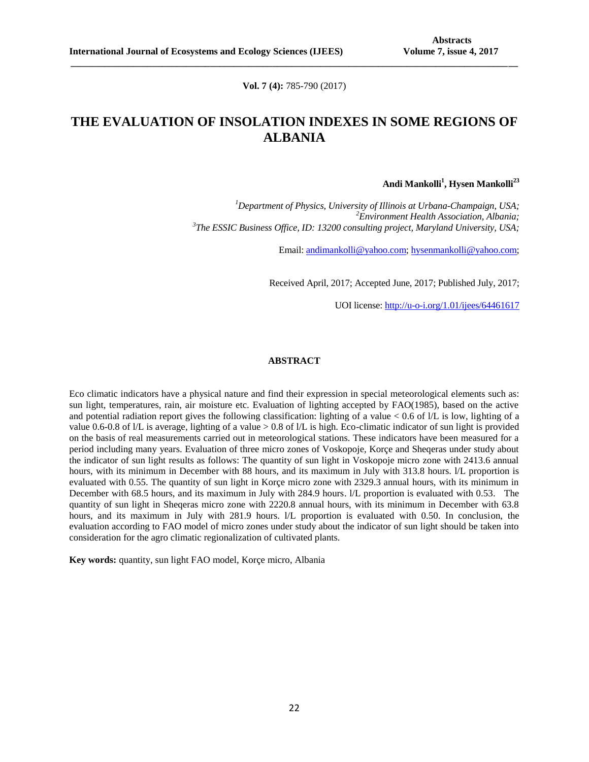**Vol. 7 (4):** 785-790 (2017)

**\_\_\_\_\_\_\_\_\_\_\_\_\_\_\_\_\_\_\_\_\_\_\_\_\_\_\_\_\_\_\_\_\_\_\_\_\_\_\_\_\_\_\_\_\_\_\_\_\_\_\_\_\_\_\_\_\_\_\_\_\_\_\_\_\_\_\_\_\_\_\_\_\_\_\_\_\_\_\_\_\_\_\_\_\_\_\_\_\_\_\_\_\_**

# **THE EVALUATION OF INSOLATION INDEXES IN SOME REGIONS OF ALBANIA**

**Andi Mankolli<sup>1</sup> , Hysen Mankolli<sup>23</sup>**

*<sup>1</sup>[Department of Physics,](http://physics.illinois.edu/) [University of Illinois at Urbana-Champaign,](http://illinois.edu/) USA; <sup>2</sup>Environment Health Association, Albania; 3 The ESSIC Business Office, ID: 13200 consulting project, Maryland University, USA;* 

Email[: andimankolli@yahoo.com;](mailto:andimankolli@yahoo.com) [hysenmankolli@yahoo.com;](mailto:hysenmankolli@yahoo.com)

Received April, 2017; Accepted June, 2017; Published July, 2017;

UOI license: [http://u-o-i.org/1.01/ijees/64461617](http://www.u-o-i.org/index.php/ArticleLicense/index/1489)

### **ABSTRACT**

Eco climatic indicators have a physical nature and find their expression in special meteorological elements such as: sun light, temperatures, rain, air moisture etc. Evaluation of lighting accepted by FAO(1985), based on the active and potential radiation report gives the following classification: lighting of a value  $< 0.6$  of  $/L$  is low, lighting of a value 0.6-0.8 of l/L is average, lighting of a value > 0.8 of l/L is high. Eco-climatic indicator of sun light is provided on the basis of real measurements carried out in meteorological stations. These indicators have been measured for a period including many years. Evaluation of three micro zones of Voskopoje, Korçe and Sheqeras under study about the indicator of sun light results as follows: The quantity of sun light in Voskopoje micro zone with 2413.6 annual hours, with its minimum in December with 88 hours, and its maximum in July with 313.8 hours. *I/L* proportion is evaluated with 0.55. The quantity of sun light in Korçe micro zone with 2329.3 annual hours, with its minimum in December with 68.5 hours, and its maximum in July with 284.9 hours. l/L proportion is evaluated with 0.53. The quantity of sun light in Sheqeras micro zone with 2220.8 annual hours, with its minimum in December with 63.8 hours, and its maximum in July with 281.9 hours. l/L proportion is evaluated with 0.50. In conclusion, the evaluation according to FAO model of micro zones under study about the indicator of sun light should be taken into consideration for the agro climatic regionalization of cultivated plants.

**Key words:** quantity, sun light FAO model, Korçe micro, Albania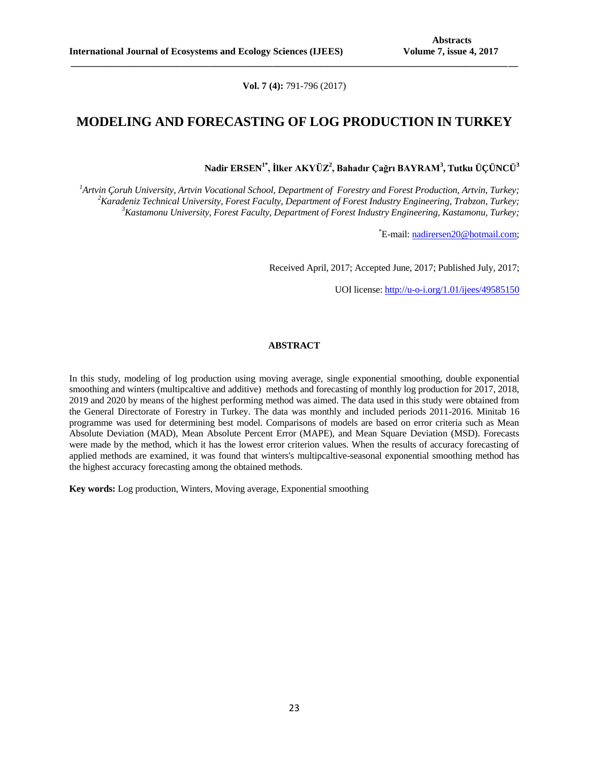**Vol. 7 (4):** 791-796 (2017)

**\_\_\_\_\_\_\_\_\_\_\_\_\_\_\_\_\_\_\_\_\_\_\_\_\_\_\_\_\_\_\_\_\_\_\_\_\_\_\_\_\_\_\_\_\_\_\_\_\_\_\_\_\_\_\_\_\_\_\_\_\_\_\_\_\_\_\_\_\_\_\_\_\_\_\_\_\_\_\_\_\_\_\_\_\_\_\_\_\_\_\_\_\_**

## **MODELING AND FORECASTING OF LOG PRODUCTION IN TURKEY**

**Nadir ERSEN1\*, İlker AKYÜZ<sup>2</sup> , Bahadır Çağrı BAYRAM<sup>3</sup> , Tutku ÜÇÜNCÜ<sup>3</sup>**

*<sup>1</sup>Artvin Çoruh University, Artvin Vocational School, Department of Forestry and Forest Production, Artvin, Turkey; <sup>2</sup>Karadeniz Technical University, Forest Faculty, Department of Forest Industry Engineering, Trabzon, Turkey; <sup>3</sup>Kastamonu University, Forest Faculty, Department of Forest Industry Engineering, Kastamonu, Turkey;*

\*E-mail[: nadirersen20@hotmail.com;](mailto:nadirersen20@hotmail.com)

Received April, 2017; Accepted June, 2017; Published July, 2017;

UOI license: [http://u-o-i.org/1.01/ijees/49585150](http://www.u-o-i.org/index.php/ArticleLicense/index/1490)

### **ABSTRACT**

In this study, modeling of log production using moving average, single exponential smoothing, double exponential smoothing and winters (multipcaltive and additive) methods and forecasting of monthly log production for 2017, 2018, 2019 and 2020 by means of the highest performing method was aimed. The data used in this study were obtained from the General Directorate of Forestry in Turkey. The data was monthly and included periods 2011-2016. Minitab 16 programme was used for determining best model. Comparisons of models are based on error criteria such as Mean Absolute Deviation (MAD), Mean Absolute Percent Error (MAPE), and Mean Square Deviation (MSD). Forecasts were made by the method, which it has the lowest error criterion values. When the results of accuracy forecasting of applied methods are examined, it was found that winters's multipcaltive-seasonal exponential smoothing method has the highest accuracy forecasting among the obtained methods.

**Key words:** Log production, Winters, Moving average, Exponential smoothing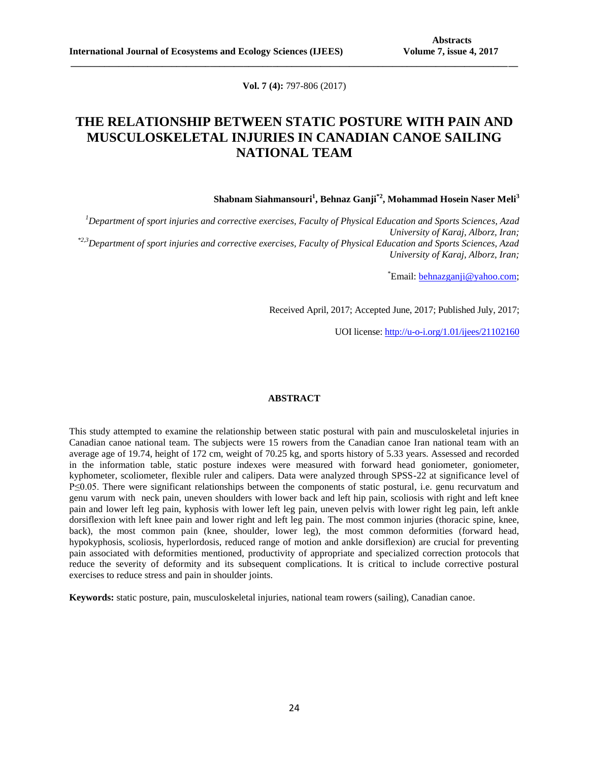**Vol. 7 (4):** 797-806 (2017)

**\_\_\_\_\_\_\_\_\_\_\_\_\_\_\_\_\_\_\_\_\_\_\_\_\_\_\_\_\_\_\_\_\_\_\_\_\_\_\_\_\_\_\_\_\_\_\_\_\_\_\_\_\_\_\_\_\_\_\_\_\_\_\_\_\_\_\_\_\_\_\_\_\_\_\_\_\_\_\_\_\_\_\_\_\_\_\_\_\_\_\_\_\_**

# **THE RELATIONSHIP BETWEEN STATIC POSTURE WITH PAIN AND MUSCULOSKELETAL INJURIES IN CANADIAN CANOE SAILING NATIONAL TEAM**

**Shabnam Siahmansouri<sup>1</sup> , Behnaz Ganji\*2 , Mohammad Hosein Naser Meli<sup>3</sup>**

*<sup>1</sup>Department of sport injuries and corrective exercises, Faculty of Physical Education and Sports Sciences, Azad University of Karaj, Alborz, Iran; \*2,3Department of sport injuries and corrective exercises, Faculty of Physical Education and Sports Sciences, Azad University of Karaj, Alborz, Iran;*

\*Email: [behnazganji@yahoo.com;](mailto:behnazganji@yahoo.com)

Received April, 2017; Accepted June, 2017; Published July, 2017;

UOI license: [http://u-o-i.org/1.01/ijees/21102160](http://www.u-o-i.org/index.php/ArticleLicense/index/1506)

#### **ABSTRACT**

This study attempted to examine the relationship between static postural with pain and musculoskeletal injuries in Canadian canoe national team. The subjects were 15 rowers from the Canadian canoe Iran national team with an average age of 19.74, height of 172 cm, weight of 70.25 kg, and sports history of 5.33 years. Assessed and recorded in the information table, static posture indexes were measured with forward head goniometer, goniometer, kyphometer, scoliometer, flexible ruler and calipers. Data were analyzed through SPSS-22 at significance level of P≤0.05. There were significant relationships between the components of static postural, i.e. genu recurvatum and genu varum with neck pain, uneven shoulders with lower back and left hip pain, scoliosis with right and left knee pain and lower left leg pain, kyphosis with lower left leg pain, uneven pelvis with lower right leg pain, left ankle dorsiflexion with left knee pain and lower right and left leg pain. The most common injuries (thoracic spine, knee, back), the most common pain (knee, shoulder, lower leg), the most common deformities (forward head, hypokyphosis, scoliosis, hyperlordosis, reduced range of motion and ankle dorsiflexion) are crucial for preventing pain associated with deformities mentioned, productivity of appropriate and specialized correction protocols that reduce the severity of deformity and its subsequent complications. It is critical to include corrective postural exercises to reduce stress and pain in shoulder joints.

**Keywords:** static posture, pain, musculoskeletal injuries, national team rowers (sailing), Canadian canoe.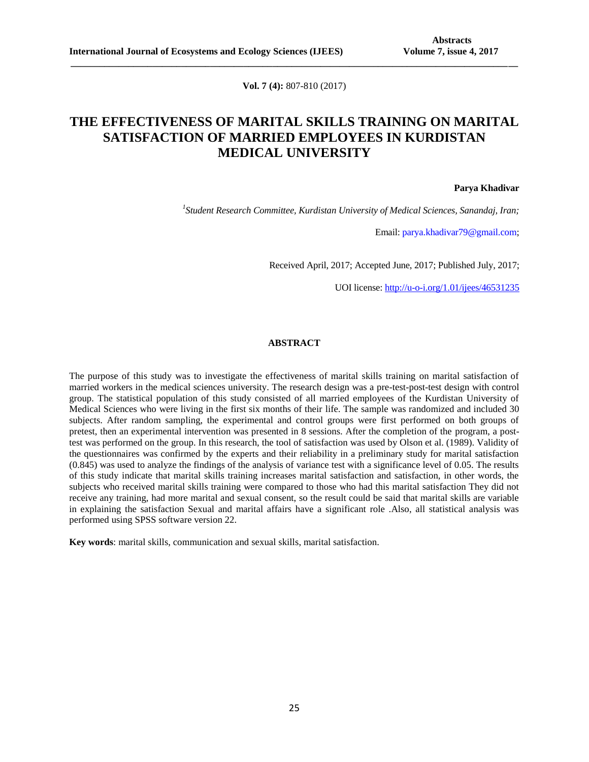**Vol. 7 (4):** 807-810 (2017)

**\_\_\_\_\_\_\_\_\_\_\_\_\_\_\_\_\_\_\_\_\_\_\_\_\_\_\_\_\_\_\_\_\_\_\_\_\_\_\_\_\_\_\_\_\_\_\_\_\_\_\_\_\_\_\_\_\_\_\_\_\_\_\_\_\_\_\_\_\_\_\_\_\_\_\_\_\_\_\_\_\_\_\_\_\_\_\_\_\_\_\_\_\_**

# **THE EFFECTIVENESS OF MARITAL SKILLS TRAINING ON MARITAL SATISFACTION OF MARRIED EMPLOYEES IN KURDISTAN MEDICAL UNIVERSITY**

#### **Parya Khadivar**

*1 Student Research Committee, Kurdistan University of Medical Sciences, Sanandaj, Iran;*

Email[: parya.khadivar79@gmail.com;](mailto:parya.khadivar79@gmail.com)

Received April, 2017; Accepted June, 2017; Published July, 2017;

UOI license: [http://u-o-i.org/1.01/ijees/46531235](http://www.u-o-i.org/index.php/ArticleLicense/index/1514)

### **ABSTRACT**

The purpose of this study was to investigate the effectiveness of marital skills training on marital satisfaction of married workers in the medical sciences university. The research design was a pre-test-post-test design with control group. The statistical population of this study consisted of all married employees of the Kurdistan University of Medical Sciences who were living in the first six months of their life. The sample was randomized and included 30 subjects. After random sampling, the experimental and control groups were first performed on both groups of pretest, then an experimental intervention was presented in 8 sessions. After the completion of the program, a posttest was performed on the group. In this research, the tool of satisfaction was used by Olson et al. (1989). Validity of the questionnaires was confirmed by the experts and their reliability in a preliminary study for marital satisfaction (0.845) was used to analyze the findings of the analysis of variance test with a significance level of 0.05. The results of this study indicate that marital skills training increases marital satisfaction and satisfaction, in other words, the subjects who received marital skills training were compared to those who had this marital satisfaction They did not receive any training, had more marital and sexual consent, so the result could be said that marital skills are variable in explaining the satisfaction Sexual and marital affairs have a significant role .Also, all statistical analysis was performed using SPSS software version 22.

**Key words**: marital skills, communication and sexual skills, marital satisfaction.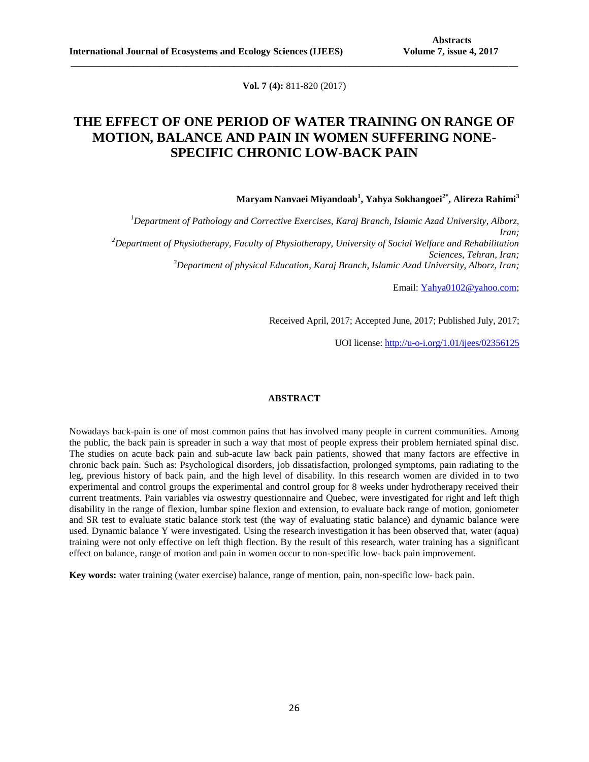**Vol. 7 (4):** 811-820 (2017)

**\_\_\_\_\_\_\_\_\_\_\_\_\_\_\_\_\_\_\_\_\_\_\_\_\_\_\_\_\_\_\_\_\_\_\_\_\_\_\_\_\_\_\_\_\_\_\_\_\_\_\_\_\_\_\_\_\_\_\_\_\_\_\_\_\_\_\_\_\_\_\_\_\_\_\_\_\_\_\_\_\_\_\_\_\_\_\_\_\_\_\_\_\_**

# **THE EFFECT OF ONE PERIOD OF WATER TRAINING ON RANGE OF MOTION, BALANCE AND PAIN IN WOMEN SUFFERING NONE-SPECIFIC CHRONIC LOW-BACK PAIN**

## **Maryam Nanvaei Miyandoab<sup>1</sup> , Yahya Sokhangoei2\*, Alireza Rahimi<sup>3</sup>**

*<sup>1</sup>Department of Pathology and Corrective Exercises, Karaj Branch, Islamic Azad University, Alborz, Iran; <sup>2</sup>Department of Physiotherapy, Faculty of Physiotherapy, University of Social Welfare and Rehabilitation Sciences, Tehran, Iran; <sup>3</sup>Department of physical Education, Karaj Branch, Islamic Azad University, Alborz, Iran;*

Email: [Yahya0102@yahoo.com;](mailto:Yahya0102@yahoo.com)

Received April, 2017; Accepted June, 2017; Published July, 2017;

UOI license: [http://u-o-i.org/1.01/ijees/02356125](http://www.u-o-i.org/index.php/ArticleLicense/index/1515)

#### **ABSTRACT**

Nowadays back-pain is one of most common pains that has involved many people in current communities. Among the public, the back pain is spreader in such a way that most of people express their problem herniated spinal disc. The studies on acute back pain and sub-acute law back pain patients, showed that many factors are effective in chronic back pain. Such as: Psychological disorders, job dissatisfaction, prolonged symptoms, pain radiating to the leg, previous history of back pain, and the high level of disability. In this research women are divided in to two experimental and control groups the experimental and control group for 8 weeks under hydrotherapy received their current treatments. Pain variables via oswestry questionnaire and Quebec, were investigated for right and left thigh disability in the range of flexion, lumbar spine flexion and extension, to evaluate back range of motion, goniometer and SR test to evaluate static balance stork test (the way of evaluating static balance) and dynamic balance were used. Dynamic balance Y were investigated. Using the research investigation it has been observed that, water (aqua) training were not only effective on left thigh flection. By the result of this research, water training has a significant effect on balance, range of motion and pain in women occur to non-specific low- back pain improvement.

**Key words:** water training (water exercise) balance, range of mention, pain, non-specific low- back pain.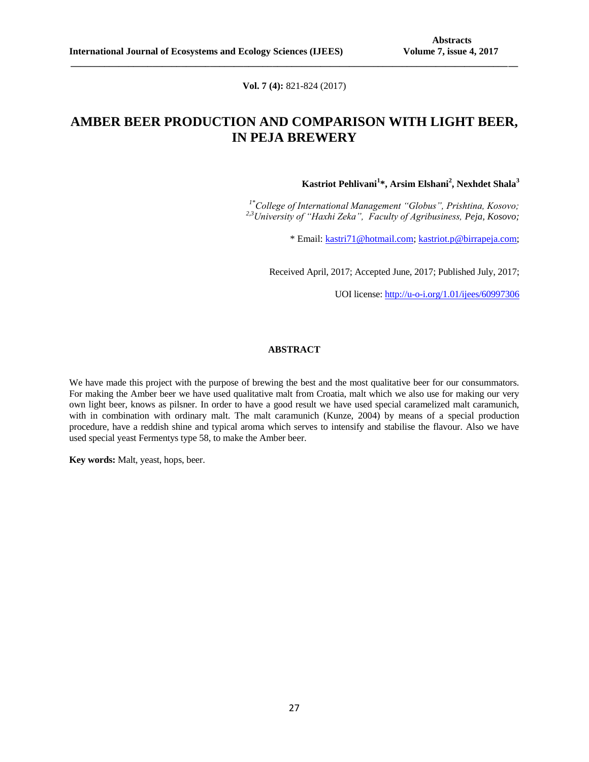**Vol. 7 (4):** 821-824 (2017)

**\_\_\_\_\_\_\_\_\_\_\_\_\_\_\_\_\_\_\_\_\_\_\_\_\_\_\_\_\_\_\_\_\_\_\_\_\_\_\_\_\_\_\_\_\_\_\_\_\_\_\_\_\_\_\_\_\_\_\_\_\_\_\_\_\_\_\_\_\_\_\_\_\_\_\_\_\_\_\_\_\_\_\_\_\_\_\_\_\_\_\_\_\_**

# **AMBER BEER PRODUCTION AND COMPARISON WITH LIGHT BEER, IN PEJA BREWERY**

**Kastriot Pehlivani<sup>1</sup> \*, Arsim Elshani<sup>2</sup> , Nexhdet Shala<sup>3</sup>**

*1\*College of International Management "Globus", Prishtina, Kosovo; 2,3University of "Haxhi Zeka", Faculty of Agribusiness, Peja, Kosovo;*

\* Email: [kastri71@hotmail.com;](mailto:kastri71@hotmail.com) [kastriot.p@birrapeja.com;](mailto:kastriot.p@birrapeja.com)

Received April, 2017; Accepted June, 2017; Published July, 2017;

UOI license: [http://u-o-i.org/1.01/ijees/60997306](http://www.u-o-i.org/index.php/ArticleLicense/index/1516)

## **ABSTRACT**

We have made this project with the purpose of brewing the best and the most qualitative beer for our consummators. For making the Amber beer we have used qualitative malt from Croatia, malt which we also use for making our very own light beer, knows as pilsner. In order to have a good result we have used special caramelized malt caramunich, with in combination with ordinary malt. The malt caramunich (Kunze, 2004) by means of a special production procedure, have a reddish shine and typical aroma which serves to intensify and stabilise the flavour. Also we have used special yeast Fermentys type 58, to make the Amber beer.

**Key words:** Malt, yeast, hops, beer.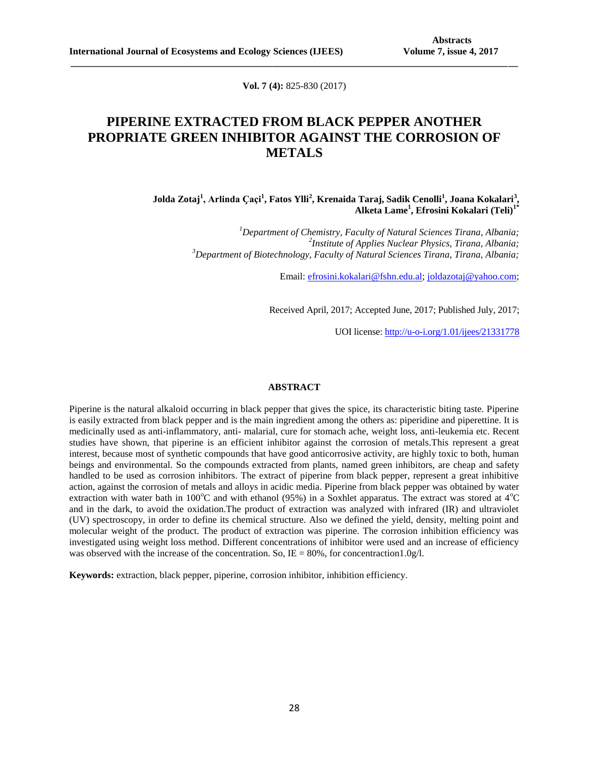**Vol. 7 (4):** 825-830 (2017)

**\_\_\_\_\_\_\_\_\_\_\_\_\_\_\_\_\_\_\_\_\_\_\_\_\_\_\_\_\_\_\_\_\_\_\_\_\_\_\_\_\_\_\_\_\_\_\_\_\_\_\_\_\_\_\_\_\_\_\_\_\_\_\_\_\_\_\_\_\_\_\_\_\_\_\_\_\_\_\_\_\_\_\_\_\_\_\_\_\_\_\_\_\_**

# **PIPERINE EXTRACTED FROM BLACK PEPPER ANOTHER PROPRIATE GREEN INHIBITOR AGAINST THE CORROSION OF METALS**

**Jolda Zotaj<sup>1</sup> , Arlinda Ҫaçi<sup>1</sup> , Fatos Ylli<sup>2</sup> , Krenaida Taraj, Sadik Cenolli<sup>1</sup> , Joana Kokalari<sup>3</sup> , Alketa Lame<sup>1</sup> , Efrosini Kokalari (Teli)1\***

> *<sup>1</sup>Department of Chemistry, Faculty of Natural Sciences Tirana, Albania; 2 Institute of Applies Nuclear Physics, Tirana, Albania; <sup>3</sup>Department of Biotechnology, Faculty of Natural Sciences Tirana, Tirana, Albania;*

> > Email: [efrosini.kokalari@fshn.edu.al;](mailto:efrosini.kokalari@fshn.edu.al) [joldazotaj@yahoo.com;](mailto:joldazotaj@yahoo.com)

Received April, 2017; Accepted June, 2017; Published July, 2017;

UOI license: [http://u-o-i.org/1.01/ijees/21331778](http://www.u-o-i.org/index.php/ArticleLicense/index/1517)

### **ABSTRACT**

Piperine is the natural alkaloid occurring in black pepper that gives the spice, its characteristic biting taste. Piperine is easily extracted from black pepper and is the main ingredient among the others as: piperidine and piperettine. It is medicinally used as anti-inflammatory, anti- malarial, cure for stomach ache, weight loss, anti-leukemia etc. Recent studies have shown, that piperine is an efficient inhibitor against the corrosion of metals.This represent a great interest, because most of synthetic compounds that have good anticorrosive activity, are highly toxic to both, human beings and environmental. So the compounds extracted from plants, named green inhibitors, are cheap and safety handled to be used as corrosion inhibitors. The extract of piperine from black pepper, represent a great inhibitive action, against the corrosion of metals and alloys in acidic media. Piperine from black pepper was obtained by water extraction with water bath in 100 $^{\circ}$ C and with ethanol (95%) in a Soxhlet apparatus. The extract was stored at 4 $^{\circ}$ C and in the dark, to avoid the oxidation.The product of extraction was analyzed with infrared (IR) and ultraviolet (UV) spectroscopy, in order to define its chemical structure. Also we defined the yield, density, melting point and molecular weight of the product. The product of extraction was piperine. The corrosion inhibition efficiency was investigated using weight loss method. Different concentrations of inhibitor were used and an increase of efficiency was observed with the increase of the concentration. So, IE =  $80\%$ , for concentraction1.0g/l.

**Keywords:** extraction, black pepper, piperine, corrosion inhibitor, inhibition efficiency.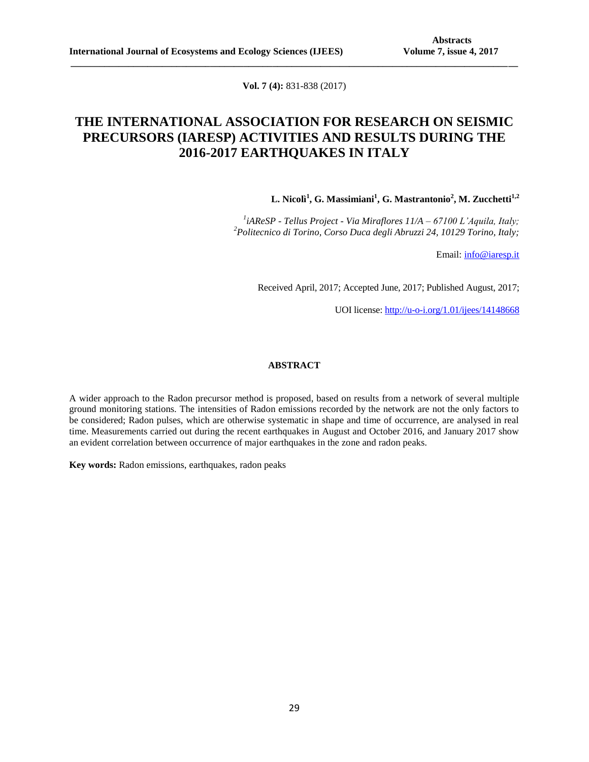**Vol. 7 (4):** 831-838 (2017)

**\_\_\_\_\_\_\_\_\_\_\_\_\_\_\_\_\_\_\_\_\_\_\_\_\_\_\_\_\_\_\_\_\_\_\_\_\_\_\_\_\_\_\_\_\_\_\_\_\_\_\_\_\_\_\_\_\_\_\_\_\_\_\_\_\_\_\_\_\_\_\_\_\_\_\_\_\_\_\_\_\_\_\_\_\_\_\_\_\_\_\_\_\_**

# **THE INTERNATIONAL ASSOCIATION FOR RESEARCH ON SEISMIC PRECURSORS (IARESP) ACTIVITIES AND RESULTS DURING THE 2016-2017 EARTHQUAKES IN ITALY**

**L. Nicolì<sup>1</sup> , G. Massimiani<sup>1</sup> , G. Mastrantonio<sup>2</sup> , M. Zucchetti1,2**

*1 iAReSP - Tellus Project - Via Miraflores 11/A – 67100 L'Aquila, Italy; <sup>2</sup>Politecnico di Torino, Corso Duca degli Abruzzi 24, 10129 Torino, Italy;*

Email[: info@iaresp.it](mailto:info@iaresp.it)

Received April, 2017; Accepted June, 2017; Published August, 2017;

UOI license: [http://u-o-i.org/1.01/ijees/14148668](http://www.u-o-i.org/index.php/ArticleLicense/index/1553)

### **ABSTRACT**

A wider approach to the Radon precursor method is proposed, based on results from a network of several multiple ground monitoring stations. The intensities of Radon emissions recorded by the network are not the only factors to be considered; Radon pulses, which are otherwise systematic in shape and time of occurrence, are analysed in real time. Measurements carried out during the recent earthquakes in August and October 2016, and January 2017 show an evident correlation between occurrence of major earthquakes in the zone and radon peaks.

**Key words:** Radon emissions, earthquakes, radon peaks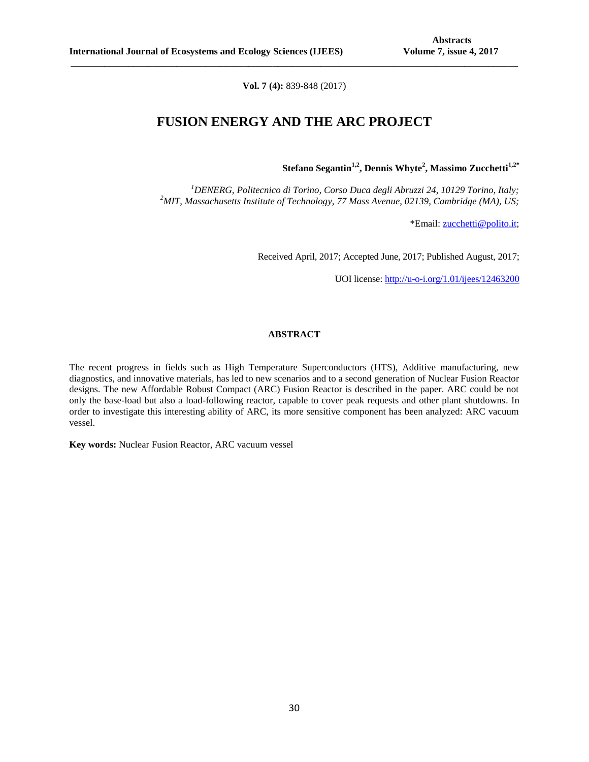**Vol. 7 (4):** 839-848 (2017)

**\_\_\_\_\_\_\_\_\_\_\_\_\_\_\_\_\_\_\_\_\_\_\_\_\_\_\_\_\_\_\_\_\_\_\_\_\_\_\_\_\_\_\_\_\_\_\_\_\_\_\_\_\_\_\_\_\_\_\_\_\_\_\_\_\_\_\_\_\_\_\_\_\_\_\_\_\_\_\_\_\_\_\_\_\_\_\_\_\_\_\_\_\_**

## **FUSION ENERGY AND THE ARC PROJECT**

**Stefano Segantin1,2, Dennis Whyte<sup>2</sup> , Massimo Zucchetti1,2\***

*<sup>1</sup>DENERG, Politecnico di Torino, Corso Duca degli Abruzzi 24, 10129 Torino, Italy; <sup>2</sup>MIT, Massachusetts Institute of Technology, 77 Mass Avenue, 02139, Cambridge (MA), US;*

\*Email[: zucchetti@polito.it;](mailto:zucchetti@polito.it)

Received April, 2017; Accepted June, 2017; Published August, 2017;

UOI license: [http://u-o-i.org/1.01/ijees/12463200](http://www.u-o-i.org/index.php/ArticleLicense/index/1554)

### **ABSTRACT**

The recent progress in fields such as High Temperature Superconductors (HTS), Additive manufacturing, new diagnostics, and innovative materials, has led to new scenarios and to a second generation of Nuclear Fusion Reactor designs. The new Affordable Robust Compact (ARC) Fusion Reactor is described in the paper. ARC could be not only the base-load but also a load-following reactor, capable to cover peak requests and other plant shutdowns. In order to investigate this interesting ability of ARC, its more sensitive component has been analyzed: ARC vacuum vessel.

**Key words:** Nuclear Fusion Reactor, ARC vacuum vessel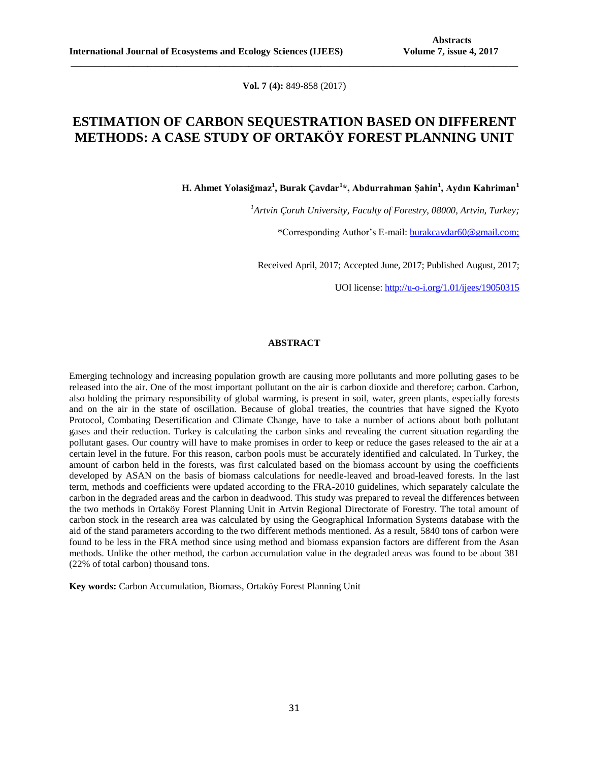**Vol. 7 (4):** 849-858 (2017)

**\_\_\_\_\_\_\_\_\_\_\_\_\_\_\_\_\_\_\_\_\_\_\_\_\_\_\_\_\_\_\_\_\_\_\_\_\_\_\_\_\_\_\_\_\_\_\_\_\_\_\_\_\_\_\_\_\_\_\_\_\_\_\_\_\_\_\_\_\_\_\_\_\_\_\_\_\_\_\_\_\_\_\_\_\_\_\_\_\_\_\_\_\_**

# **ESTIMATION OF CARBON SEQUESTRATION BASED ON DIFFERENT METHODS: A CASE STUDY OF ORTAKÖY FOREST PLANNING UNIT**

**H. Ahmet Yolasiğmaz<sup>1</sup> , Burak Çavdar<sup>1</sup> \*, Abdurrahman Şahin<sup>1</sup> , Aydın Kahriman<sup>1</sup>**

*<sup>1</sup>Artvin Çoruh University, Faculty of Forestry, 08000, Artvin, Turkey;*

\*Corresponding Author's E-mail: [burakcavdar60@gmail.com;](mailto:burakcavdar60@gmail.com)

Received April, 2017; Accepted June, 2017; Published August, 2017;

UOI license: [http://u-o-i.org/1.01/ijees/19050315](http://www.u-o-i.org/index.php/ArticleLicense/index/1588)

### **ABSTRACT**

Emerging technology and increasing population growth are causing more pollutants and more polluting gases to be released into the air. One of the most important pollutant on the air is carbon dioxide and therefore; carbon. Carbon, also holding the primary responsibility of global warming, is present in soil, water, green plants, especially forests and on the air in the state of oscillation. Because of global treaties, the countries that have signed the Kyoto Protocol, Combating Desertification and Climate Change, have to take a number of actions about both pollutant gases and their reduction. Turkey is calculating the carbon sinks and revealing the current situation regarding the pollutant gases. Our country will have to make promises in order to keep or reduce the gases released to the air at a certain level in the future. For this reason, carbon pools must be accurately identified and calculated. In Turkey, the amount of carbon held in the forests, was first calculated based on the biomass account by using the coefficients developed by ASAN on the basis of biomass calculations for needle-leaved and broad-leaved forests. In the last term, methods and coefficients were updated according to the FRA-2010 guidelines, which separately calculate the carbon in the degraded areas and the carbon in deadwood. This study was prepared to reveal the differences between the two methods in Ortaköy Forest Planning Unit in Artvin Regional Directorate of Forestry. The total amount of carbon stock in the research area was calculated by using the Geographical Information Systems database with the aid of the stand parameters according to the two different methods mentioned. As a result, 5840 tons of carbon were found to be less in the FRA method since using method and biomass expansion factors are different from the Asan methods. Unlike the other method, the carbon accumulation value in the degraded areas was found to be about 381 (22% of total carbon) thousand tons.

**Key words:** Carbon Accumulation, Biomass, Ortaköy Forest Planning Unit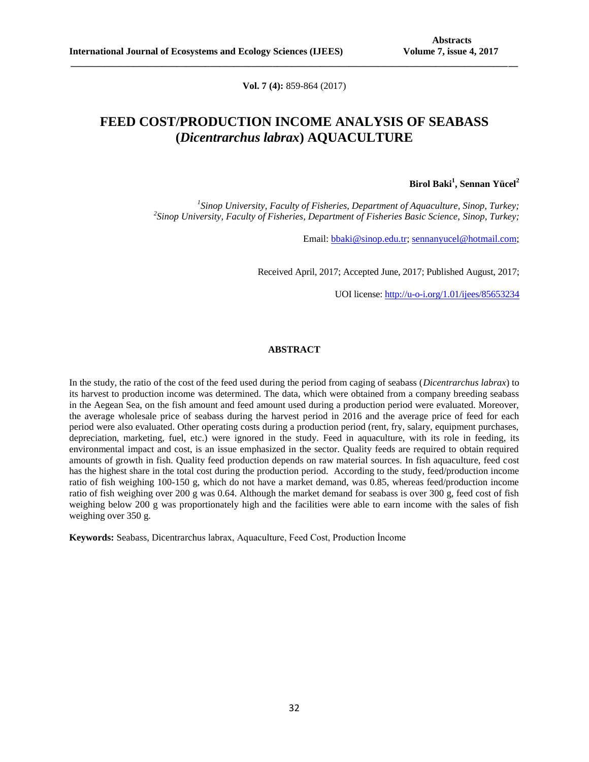**Vol. 7 (4):** 859-864 (2017)

**\_\_\_\_\_\_\_\_\_\_\_\_\_\_\_\_\_\_\_\_\_\_\_\_\_\_\_\_\_\_\_\_\_\_\_\_\_\_\_\_\_\_\_\_\_\_\_\_\_\_\_\_\_\_\_\_\_\_\_\_\_\_\_\_\_\_\_\_\_\_\_\_\_\_\_\_\_\_\_\_\_\_\_\_\_\_\_\_\_\_\_\_\_**

# **FEED COST/PRODUCTION INCOME ANALYSIS OF SEABASS (***Dicentrarchus labrax***) AQUACULTURE**

## **Birol Baki<sup>1</sup> , Sennan Yücel<sup>2</sup>**

*1 Sinop University, Faculty of Fisheries, Department of Aquaculture, Sinop, Turkey; 2 Sinop University, Faculty of Fisheries, Department of Fisheries Basic Science, Sinop, Turkey;*

Email: [bbaki@sinop.edu.tr;](mailto:bbaki@sinop.edu.tr) [sennanyucel@hotmail.com;](mailto:sennanyucel@hotmail.com)

Received April, 2017; Accepted June, 2017; Published August, 2017;

UOI license: [http://u-o-i.org/1.01/ijees/85653234](http://www.u-o-i.org/index.php/ArticleLicense/index/1765)

## **ABSTRACT**

In the study, the ratio of the cost of the feed used during the period from caging of seabass (*Dicentrarchus labrax*) to its harvest to production income was determined. The data, which were obtained from a company breeding seabass in the Aegean Sea, on the fish amount and feed amount used during a production period were evaluated. Moreover, the average wholesale price of seabass during the harvest period in 2016 and the average price of feed for each period were also evaluated. Other operating costs during a production period (rent, fry, salary, equipment purchases, depreciation, marketing, fuel, etc.) were ignored in the study. Feed in aquaculture, with its role in feeding, its environmental impact and cost, is an issue emphasized in the sector. Quality feeds are required to obtain required amounts of growth in fish. Quality feed production depends on raw material sources. In fish aquaculture, feed cost has the highest share in the total cost during the production period. According to the study, feed/production income ratio of fish weighing 100-150 g, which do not have a market demand, was 0.85, whereas feed/production income ratio of fish weighing over 200 g was 0.64. Although the market demand for seabass is over 300 g, feed cost of fish weighing below 200 g was proportionately high and the facilities were able to earn income with the sales of fish weighing over 350 g.

**Keywords:** Seabass, Dicentrarchus labrax, Aquaculture, Feed Cost, Production İncome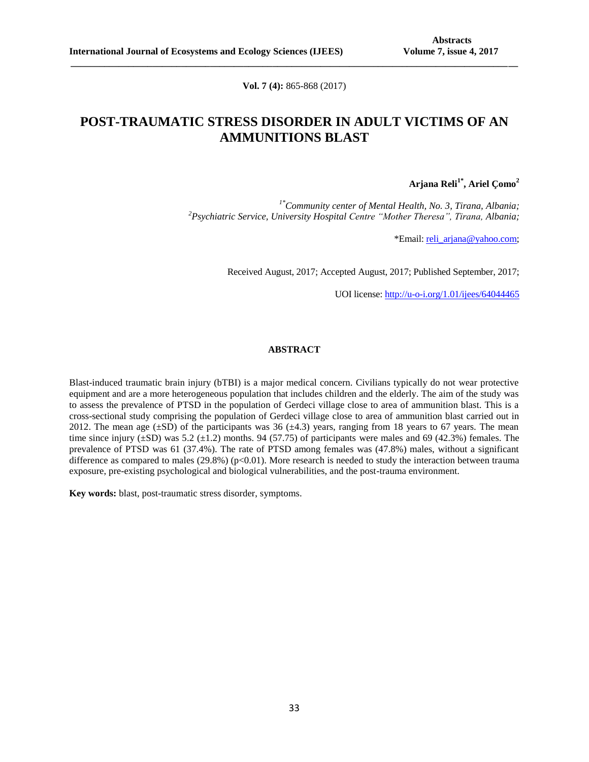**Vol. 7 (4):** 865-868 (2017)

**\_\_\_\_\_\_\_\_\_\_\_\_\_\_\_\_\_\_\_\_\_\_\_\_\_\_\_\_\_\_\_\_\_\_\_\_\_\_\_\_\_\_\_\_\_\_\_\_\_\_\_\_\_\_\_\_\_\_\_\_\_\_\_\_\_\_\_\_\_\_\_\_\_\_\_\_\_\_\_\_\_\_\_\_\_\_\_\_\_\_\_\_\_**

# **POST-TRAUMATIC STRESS DISORDER IN ADULT VICTIMS OF AN AMMUNITIONS BLAST**

**Arjana Reli1\* , Ariel Çomo<sup>2</sup>**

*1\*Community center of Mental Health, No. 3, Tirana, Albania; <sup>2</sup>Psychiatric Service, University Hospital Centre "Mother Theresa", Tirana, Albania;*

\*Email: [reli\\_arjana@yahoo.com;](mailto:reli_arjana@yahoo.com)

Received August, 2017; Accepted August, 2017; Published September, 2017;

UOI license: [http://u-o-i.org/1.01/ijees/64044465](http://www.u-o-i.org/index.php/ArticleLicense/index/1837)

## **ABSTRACT**

Blast-induced traumatic brain injury (bTBI) is a major medical concern. Civilians typically do not wear protective equipment and are a more heterogeneous population that includes children and the elderly. The aim of the study was to assess the prevalence of PTSD in the population of Gerdeci village close to area of ammunition blast. This is a cross-sectional study comprising the population of Gerdeci village close to area of ammunition blast carried out in 2012. The mean age  $(\pm SD)$  of the participants was 36  $(\pm 4.3)$  years, ranging from 18 years to 67 years. The mean time since injury  $(\pm SD)$  was 5.2  $(\pm 1.2)$  months. 94 (57.75) of participants were males and 69 (42.3%) females. The prevalence of PTSD was 61 (37.4%). The rate of PTSD among females was (47.8%) males, without a significant difference as compared to males  $(29.8%)$  (p<0.01). More research is needed to study the interaction between trauma exposure, pre-existing psychological and biological vulnerabilities, and the post-trauma environment.

**Key words:** blast, post-traumatic stress disorder, symptoms.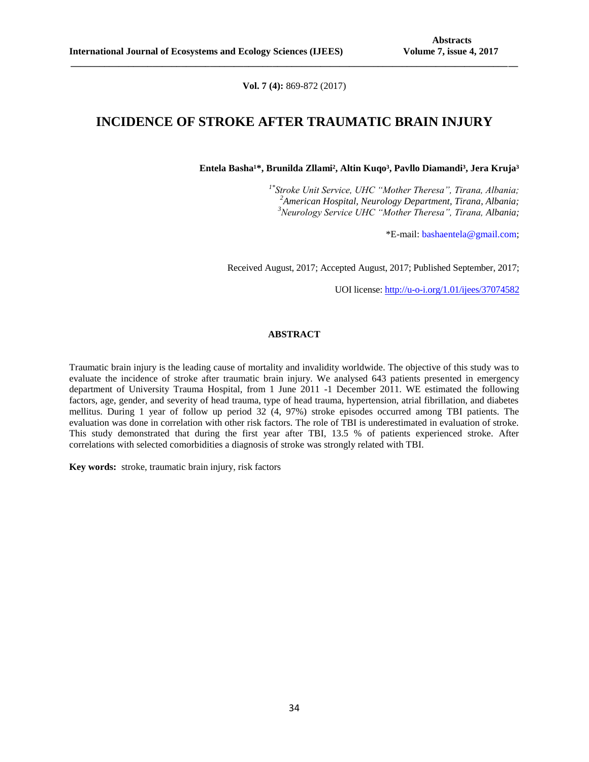**Vol. 7 (4):** 869-872 (2017)

**\_\_\_\_\_\_\_\_\_\_\_\_\_\_\_\_\_\_\_\_\_\_\_\_\_\_\_\_\_\_\_\_\_\_\_\_\_\_\_\_\_\_\_\_\_\_\_\_\_\_\_\_\_\_\_\_\_\_\_\_\_\_\_\_\_\_\_\_\_\_\_\_\_\_\_\_\_\_\_\_\_\_\_\_\_\_\_\_\_\_\_\_\_**

## **INCIDENCE OF STROKE AFTER TRAUMATIC BRAIN INJURY**

Entela Basha<sup>1\*</sup>, Brunilda Zllami<sup>2</sup>, Altin Kuqo<sup>3</sup>, Pavllo Diamandi<sup>3</sup>, Jera Kruja<sup>3</sup>

*1\* Stroke Unit Service, UHC "Mother Theresa", Tirana, Albania; <sup>2</sup>American Hospital, Neurology Department, Tirana, Albania; <sup>3</sup>Neurology Service UHC "Mother Theresa", Tirana, Albania;*

\*E-mail: [bashaentela@gmail.com;](mailto:bashaentela@gmail.com)

Received August, 2017; Accepted August, 2017; Published September, 2017;

UOI license: [http://u-o-i.org/1.01/ijees/37074582](http://www.u-o-i.org/index.php/ArticleLicense/index/1838)

### **ABSTRACT**

Traumatic brain injury is the leading cause of mortality and invalidity worldwide. The objective of this study was to evaluate the incidence of stroke after traumatic brain injury. We analysed 643 patients presented in emergency department of University Trauma Hospital, from 1 June 2011 -1 December 2011. WE estimated the following factors, age, gender, and severity of head trauma, type of head trauma, hypertension, atrial fibrillation, and diabetes mellitus. During 1 year of follow up period 32 (4, 97%) stroke episodes occurred among TBI patients. The evaluation was done in correlation with other risk factors. The role of TBI is underestimated in evaluation of stroke. This study demonstrated that during the first year after TBI, 13.5 % of patients experienced stroke. After correlations with selected comorbidities a diagnosis of stroke was strongly related with TBI.

**Key words:** stroke, traumatic brain injury, risk factors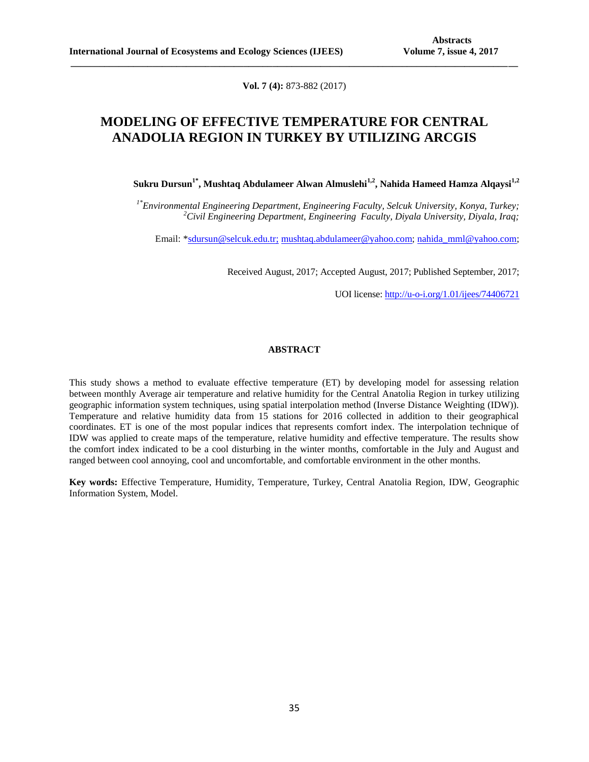**Vol. 7 (4):** 873-882 (2017)

**\_\_\_\_\_\_\_\_\_\_\_\_\_\_\_\_\_\_\_\_\_\_\_\_\_\_\_\_\_\_\_\_\_\_\_\_\_\_\_\_\_\_\_\_\_\_\_\_\_\_\_\_\_\_\_\_\_\_\_\_\_\_\_\_\_\_\_\_\_\_\_\_\_\_\_\_\_\_\_\_\_\_\_\_\_\_\_\_\_\_\_\_\_**

# **MODELING OF EFFECTIVE TEMPERATURE FOR CENTRAL ANADOLIA REGION IN TURKEY BY UTILIZING ARCGIS**

**Sukru Dursun1\*, Mushtaq Abdulameer Alwan Almuslehi1,2, Nahida Hameed Hamza Alqaysi1,2**

*1\*Environmental Engineering Department, Engineering Faculty, Selcuk University, Konya, Turkey; <sup>2</sup>Civil Engineering Department, Engineering Faculty, Diyala University, Diyala, Iraq;*

Email: [\\*sdursun@selcuk.edu.tr;](mailto:sdursun@selcuk.edu.tr) [mushtaq.abdulameer@yahoo.com;](mailto:mushtaq.abdulameer@yahoo.com) [nahida\\_mml@yahoo.com;](mailto:nahida_mml@yahoo.com)

Received August, 2017; Accepted August, 2017; Published September, 2017;

UOI license: [http://u-o-i.org/1.01/ijees/74406721](http://www.u-o-i.org/index.php/ArticleLicense/index/1849)

## **ABSTRACT**

This study shows a method to evaluate effective temperature (ET) by developing model for assessing relation between monthly Average air temperature and relative humidity for the Central Anatolia Region in turkey utilizing geographic information system techniques, using spatial interpolation method (Inverse Distance Weighting (IDW)). Temperature and relative humidity data from 15 stations for 2016 collected in addition to their geographical coordinates. ET is one of the most popular indices that represents comfort index. The interpolation technique of IDW was applied to create maps of the temperature, relative humidity and effective temperature. The results show the comfort index indicated to be a cool disturbing in the winter months, comfortable in the July and August and ranged between cool annoying, cool and uncomfortable, and comfortable environment in the other months.

**Key words:** Effective Temperature, Humidity, Temperature, Turkey, Central Anatolia Region, IDW, Geographic Information System, Model.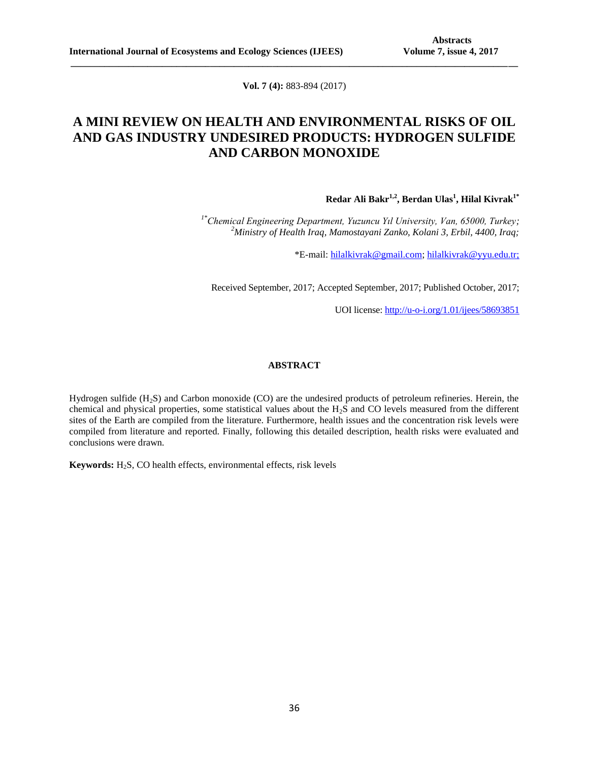**Vol. 7 (4):** 883-894 (2017)

**\_\_\_\_\_\_\_\_\_\_\_\_\_\_\_\_\_\_\_\_\_\_\_\_\_\_\_\_\_\_\_\_\_\_\_\_\_\_\_\_\_\_\_\_\_\_\_\_\_\_\_\_\_\_\_\_\_\_\_\_\_\_\_\_\_\_\_\_\_\_\_\_\_\_\_\_\_\_\_\_\_\_\_\_\_\_\_\_\_\_\_\_\_**

# **A MINI REVIEW ON HEALTH AND ENVIRONMENTAL RISKS OF OIL AND GAS INDUSTRY UNDESIRED PRODUCTS: HYDROGEN SULFIDE AND CARBON MONOXIDE**

**Redar Ali Bakr1,2, Berdan Ulas<sup>1</sup> , Hilal Kivrak1\***

*1\*Chemical Engineering Department, Yuzuncu Yıl University, Van, 65000, Turkey; <sup>2</sup>Ministry of Health Iraq, Mamostayani Zanko, Kolani 3, Erbil, 4400, Iraq;*

\*E-mail: [hilalkivrak@gmail.com;](mailto:hilalkivrak@gmail.com) [hilalkivrak@yyu.edu.tr;](mailto:hilalkivrak@yyu.edu.tr)

Received September, 2017; Accepted September, 2017; Published October, 2017;

UOI license: [http://u-o-i.org/1.01/ijees/58693851](http://www.u-o-i.org/index.php/ArticleLicense/index/1874)

## **ABSTRACT**

Hydrogen sulfide (H<sub>2</sub>S) and Carbon monoxide (CO) are the undesired products of petroleum refineries. Herein, the chemical and physical properties, some statistical values about the H2S and CO levels measured from the different sites of the Earth are compiled from the literature. Furthermore, health issues and the concentration risk levels were compiled from literature and reported. Finally, following this detailed description, health risks were evaluated and conclusions were drawn.

**Keywords:** H<sub>2</sub>S, CO health effects, environmental effects, risk levels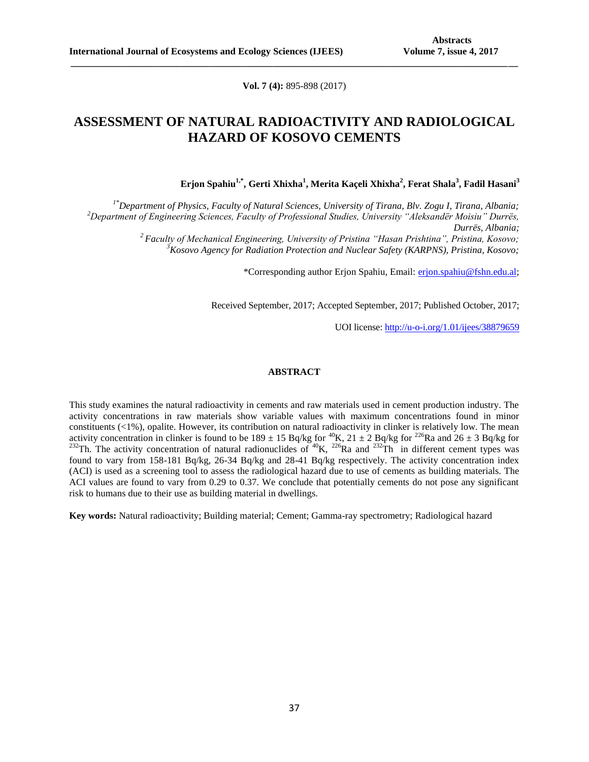**Vol. 7 (4):** 895-898 (2017)

**\_\_\_\_\_\_\_\_\_\_\_\_\_\_\_\_\_\_\_\_\_\_\_\_\_\_\_\_\_\_\_\_\_\_\_\_\_\_\_\_\_\_\_\_\_\_\_\_\_\_\_\_\_\_\_\_\_\_\_\_\_\_\_\_\_\_\_\_\_\_\_\_\_\_\_\_\_\_\_\_\_\_\_\_\_\_\_\_\_\_\_\_\_**

# **ASSESSMENT OF NATURAL RADIOACTIVITY AND RADIOLOGICAL HAZARD OF KOSOVO CEMENTS**

**Erjon Spahiu1,\*, Gerti Xhixha<sup>1</sup> , Merita Kaçeli Xhixha<sup>2</sup> , Ferat Shala<sup>3</sup> , Fadil Hasani<sup>3</sup>**

*1\*Department of Physics, Faculty of Natural Sciences, University of Tirana, Blv. Zogu I, Tirana, Albania; <sup>2</sup>Department of Engineering Sciences, Faculty of Professional Studies, University "Aleksandër Moisiu" Durrës, Durrës, Albania; <sup>2</sup>Faculty of Mechanical Engineering, University of Pristina "Hasan Prishtina", Pristina, Kosovo; <sup>3</sup>Kosovo Agency for Radiation Protection and Nuclear Safety (KARPNS), Pristina, Kosovo;*

\*Corresponding author Erjon Spahiu, Email: [erjon.spahiu@fshn.edu.al;](mailto:erjon.spahiu@fshn.edu.al)

Received September, 2017; Accepted September, 2017; Published October, 2017;

UOI license: [http://u-o-i.org/1.01/ijees/38879659](http://www.u-o-i.org/index.php/ArticleLicense/index/1893)

#### **ABSTRACT**

This study examines the natural radioactivity in cements and raw materials used in cement production industry. The activity concentrations in raw materials show variable values with maximum concentrations found in minor constituents  $(\langle 1\%),$  opalite. However, its contribution on natural radioactivity in clinker is relatively low. The mean activity concentration in clinker is found to be  $189 \pm 15$  Bq/kg for <sup>40</sup>K,  $21 \pm 2$  Bq/kg for <sup>226</sup>Ra and  $26 \pm 3$  Bq/kg for <sup>232</sup>Th. The activity concentration of natural radionuclides of <sup>40</sup>K, <sup>226</sup>Ra and <sup>232</sup>Th in different cement types was found to vary from 158-181 Bq/kg, 26-34 Bq/kg and 28-41 Bq/kg respectively. The activity concentration index (ACI) is used as a screening tool to assess the radiological hazard due to use of cements as building materials. The ACI values are found to vary from 0.29 to 0.37. We conclude that potentially cements do not pose any significant risk to humans due to their use as building material in dwellings.

**Key words:** Natural radioactivity; Building material; Cement; Gamma-ray spectrometry; Radiological hazard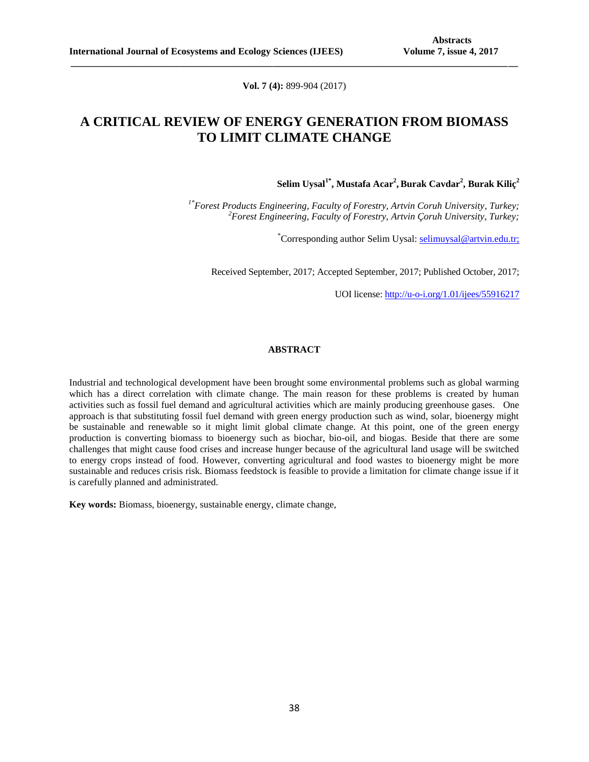**Vol. 7 (4):** 899-904 (2017)

**\_\_\_\_\_\_\_\_\_\_\_\_\_\_\_\_\_\_\_\_\_\_\_\_\_\_\_\_\_\_\_\_\_\_\_\_\_\_\_\_\_\_\_\_\_\_\_\_\_\_\_\_\_\_\_\_\_\_\_\_\_\_\_\_\_\_\_\_\_\_\_\_\_\_\_\_\_\_\_\_\_\_\_\_\_\_\_\_\_\_\_\_\_**

# **A CRITICAL REVIEW OF ENERGY GENERATION FROM BIOMASS TO LIMIT CLIMATE CHANGE**

**Selim Uysal1\* , Mustafa Acar<sup>2</sup> , Burak Cavdar<sup>2</sup> , Burak Kiliç<sup>2</sup>**

*1\*Forest Products Engineering, Faculty of Forestry, Artvin Coruh University, Turkey; <sup>2</sup>Forest Engineering, Faculty of Forestry, Artvin Çoruh University, Turkey;*

\*Corresponding author Selim Uysal: [selimuysal@artvin.edu.tr;](mailto:selimuysal@artvin.edu.tr)

Received September, 2017; Accepted September, 2017; Published October, 2017;

UOI license: [http://u-o-i.org/1.01/ijees/55916217](http://www.u-o-i.org/index.php/ArticleLicense/index/1981)

## **ABSTRACT**

Industrial and technological development have been brought some environmental problems such as global warming which has a direct correlation with climate change. The main reason for these problems is created by human activities such as fossil fuel demand and agricultural activities which are mainly producing greenhouse gases. One approach is that substituting fossil fuel demand with green energy production such as wind, solar, bioenergy might be sustainable and renewable so it might limit global climate change. At this point, one of the green energy production is converting biomass to bioenergy such as biochar, bio-oil, and biogas. Beside that there are some challenges that might cause food crises and increase hunger because of the agricultural land usage will be switched to energy crops instead of food. However, converting agricultural and food wastes to bioenergy might be more sustainable and reduces crisis risk. Biomass feedstock is feasible to provide a limitation for climate change issue if it is carefully planned and administrated.

**Key words:** Biomass, bioenergy, sustainable energy, climate change,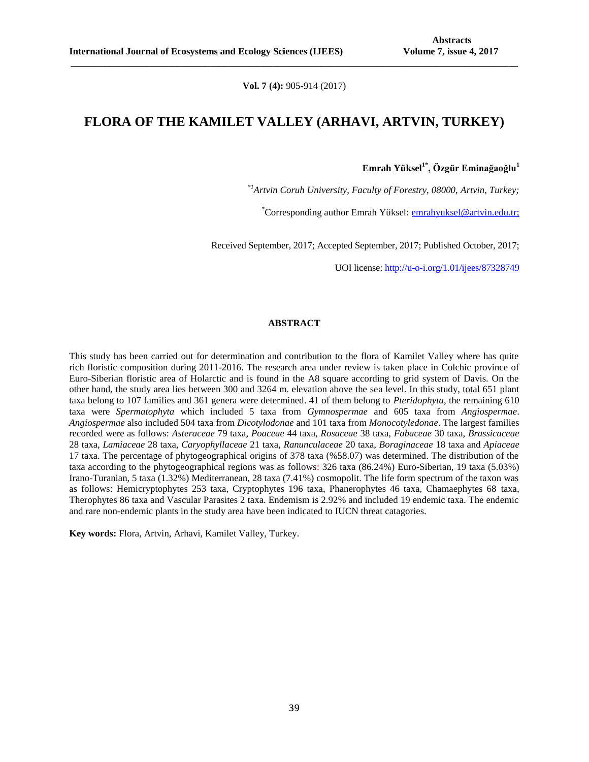**Vol. 7 (4):** 905-914 (2017)

**\_\_\_\_\_\_\_\_\_\_\_\_\_\_\_\_\_\_\_\_\_\_\_\_\_\_\_\_\_\_\_\_\_\_\_\_\_\_\_\_\_\_\_\_\_\_\_\_\_\_\_\_\_\_\_\_\_\_\_\_\_\_\_\_\_\_\_\_\_\_\_\_\_\_\_\_\_\_\_\_\_\_\_\_\_\_\_\_\_\_\_\_\_**

## **FLORA OF THE KAMILET VALLEY (ARHAVI, ARTVIN, TURKEY)**

**Emrah Yüksel1\*, Özgür Eminağaoğlu<sup>1</sup>**

*\*1Artvin Coruh University, Faculty of Forestry, 08000, Artvin, Turkey;*

\*Corresponding author Emrah Yüksel: [emrahyuksel@artvin.edu.tr;](mailto:emrahyuksel@artvin.edu.tr)

Received September, 2017; Accepted September, 2017; Published October, 2017;

UOI license: [http://u-o-i.org/1.01/ijees/87328749](http://www.u-o-i.org/index.php/ArticleLicense/index/1982)

## **ABSTRACT**

This study has been carried out for determination and contribution to the flora of Kamilet Valley where has quite rich floristic composition during 2011-2016. The research area under review is taken place in Colchic province of Euro-Siberian floristic area of Holarctic and is found in the A8 square according to grid system of Davis. On the other hand, the study area lies between 300 and 3264 m. elevation above the sea level. In this study, total 651 plant taxa belong to 107 families and 361 genera were determined. 41 of them belong to *Pteridophyta*, the remaining 610 taxa were *Spermatophyta* which included 5 taxa from *Gymnospermae* and 605 taxa from *Angiospermae*. *Angiospermae* also included 504 taxa from *Dicotylodonae* and 101 taxa from *Monocotyledonae*. The largest families recorded were as follows: *Asteraceae* 79 taxa, *Poaceae* 44 taxa, *Rosaceae* 38 taxa, *Fabaceae* 30 taxa, *Brassicaceae*  28 taxa, *Lamiaceae* 28 taxa, *Caryophyllaceae* 21 taxa, *Ranunculaceae* 20 taxa, *Boraginaceae* 18 taxa and *Apiaceae*  17 taxa. The percentage of phytogeographical origins of 378 taxa (%58.07) was determined. The distribution of the taxa according to the phytogeographical regions was as follows: 326 taxa (86.24%) Euro-Siberian, 19 taxa (5.03%) Irano-Turanian, 5 taxa (1.32%) Mediterranean, 28 taxa (7.41%) cosmopolit. The life form spectrum of the taxon was as follows: Hemicryptophytes 253 taxa, Cryptophytes 196 taxa, Phanerophytes 46 taxa, Chamaephytes 68 taxa, Therophytes 86 taxa and Vascular Parasites 2 taxa. Endemism is 2.92% and included 19 endemic taxa. The endemic and rare non-endemic plants in the study area have been indicated to IUCN threat catagories.

**Key words:** Flora, Artvin, Arhavi, Kamilet Valley, Turkey.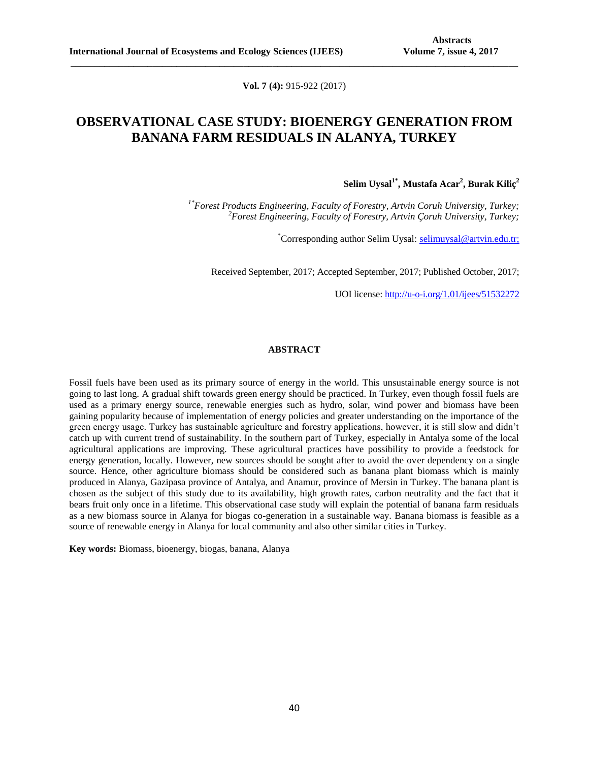**Vol. 7 (4):** 915-922 (2017)

**\_\_\_\_\_\_\_\_\_\_\_\_\_\_\_\_\_\_\_\_\_\_\_\_\_\_\_\_\_\_\_\_\_\_\_\_\_\_\_\_\_\_\_\_\_\_\_\_\_\_\_\_\_\_\_\_\_\_\_\_\_\_\_\_\_\_\_\_\_\_\_\_\_\_\_\_\_\_\_\_\_\_\_\_\_\_\_\_\_\_\_\_\_**

# **OBSERVATIONAL CASE STUDY: BIOENERGY GENERATION FROM BANANA FARM RESIDUALS IN ALANYA, TURKEY**

**Selim Uysal1\*, Mustafa Acar<sup>2</sup> , Burak Kiliç<sup>2</sup>**

*1\*Forest Products Engineering, Faculty of Forestry, Artvin Coruh University, Turkey; <sup>2</sup>Forest Engineering, Faculty of Forestry, Artvin Çoruh University, Turkey;*

\*Corresponding author Selim Uysal: [selimuysal@artvin.edu.tr;](mailto:selimuysal@artvin.edu.tr)

Received September, 2017; Accepted September, 2017; Published October, 2017;

UOI license: [http://u-o-i.org/1.01/ijees/51532272](http://www.u-o-i.org/index.php/ArticleLicense/index/1983)

## **ABSTRACT**

Fossil fuels have been used as its primary source of energy in the world. This unsustainable energy source is not going to last long. A gradual shift towards green energy should be practiced. In Turkey, even though fossil fuels are used as a primary energy source, renewable energies such as hydro, solar, wind power and biomass have been gaining popularity because of implementation of energy policies and greater understanding on the importance of the green energy usage. Turkey has sustainable agriculture and forestry applications, however, it is still slow and didn't catch up with current trend of sustainability. In the southern part of Turkey, especially in Antalya some of the local agricultural applications are improving. These agricultural practices have possibility to provide a feedstock for energy generation, locally. However, new sources should be sought after to avoid the over dependency on a single source. Hence, other agriculture biomass should be considered such as banana plant biomass which is mainly produced in Alanya, Gazipasa province of Antalya, and Anamur, province of Mersin in Turkey. The banana plant is chosen as the subject of this study due to its availability, high growth rates, carbon neutrality and the fact that it bears fruit only once in a lifetime. This observational case study will explain the potential of banana farm residuals as a new biomass source in Alanya for biogas co-generation in a sustainable way. Banana biomass is feasible as a source of renewable energy in Alanya for local community and also other similar cities in Turkey.

**Key words:** Biomass, bioenergy, biogas, banana, Alanya